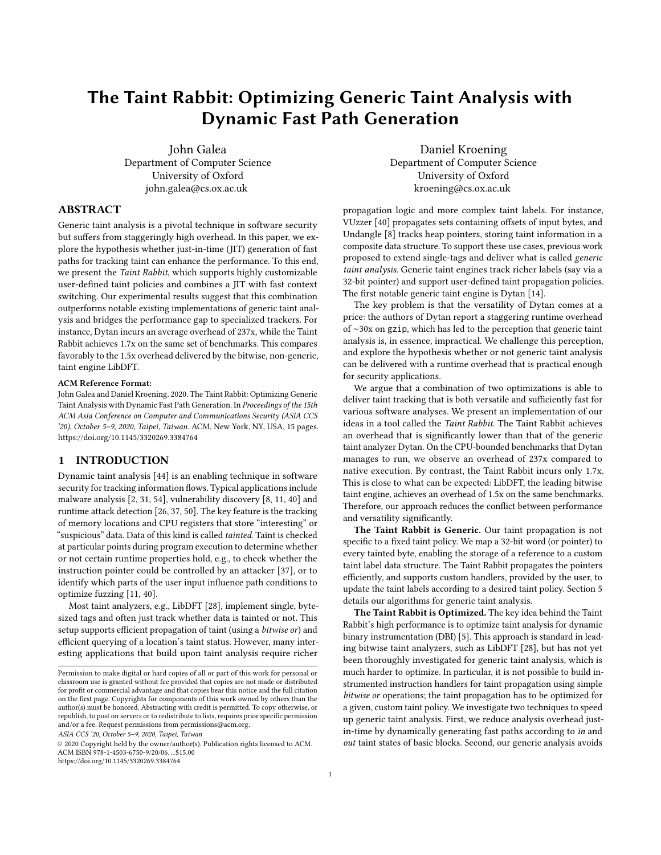# The Taint Rabbit: Optimizing Generic Taint Analysis with Dynamic Fast Path Generation

John Galea Department of Computer Science University of Oxford [john.galea@cs.ox.ac.uk](mailto:john.galea@cs.ox.ac.uk)

Daniel Kroening Department of Computer Science University of Oxford [kroening@cs.ox.ac.uk](mailto:kroening@cs.ox.ac.uk)

# ABSTRACT

Generic taint analysis is a pivotal technique in software security but suffers from staggeringly high overhead. In this paper, we explore the hypothesis whether just-in-time (JIT) generation of fast paths for tracking taint can enhance the performance. To this end, we present the Taint Rabbit, which supports highly customizable user-defined taint policies and combines a JIT with fast context switching. Our experimental results suggest that this combination outperforms notable existing implementations of generic taint analysis and bridges the performance gap to specialized trackers. For instance, Dytan incurs an average overhead of 237x, while the Taint Rabbit achieves 1.7x on the same set of benchmarks. This compares favorably to the 1.5x overhead delivered by the bitwise, non-generic, taint engine LibDFT.

#### ACM Reference Format:

John Galea and Daniel Kroening. 2020. The Taint Rabbit: Optimizing Generic Taint Analysis with Dynamic Fast Path Generation. In Proceedings of the 15th ACM Asia Conference on Computer and Communications Security (ASIA CCS '20), October 5–9, 2020, Taipei, Taiwan. ACM, New York, NY, USA, [15](#page-14-0) pages. <https://doi.org/10.1145/3320269.3384764>

# 1 INTRODUCTION

Dynamic taint analysis [\[44\]](#page-11-0) is an enabling technique in software security for tracking information flows. Typical applications include malware analysis [\[2,](#page-10-0) [31,](#page-11-1) [54\]](#page-11-2), vulnerability discovery [\[8,](#page-10-1) [11,](#page-10-2) [40\]](#page-11-3) and runtime attack detection [\[26,](#page-11-4) [37,](#page-11-5) [50\]](#page-11-6). The key feature is the tracking of memory locations and CPU registers that store "interesting" or "suspicious" data. Data of this kind is called tainted. Taint is checked at particular points during program execution to determine whether or not certain runtime properties hold, e.g., to check whether the instruction pointer could be controlled by an attacker [\[37\]](#page-11-5), or to identify which parts of the user input influence path conditions to optimize fuzzing [\[11,](#page-10-2) [40\]](#page-11-3).

Most taint analyzers, e.g., LibDFT [\[28\]](#page-11-7), implement single, bytesized tags and often just track whether data is tainted or not. This setup supports efficient propagation of taint (using a bitwise or) and efficient querying of a location's taint status. However, many interesting applications that build upon taint analysis require richer

ASIA CCS '20, October 5–9, 2020, Taipei, Taiwan

© 2020 Copyright held by the owner/author(s). Publication rights licensed to ACM. ACM ISBN 978-1-4503-6750-9/20/06. . . \$15.00 <https://doi.org/10.1145/3320269.3384764>

propagation logic and more complex taint labels. For instance, VUzzer [\[40\]](#page-11-3) propagates sets containing offsets of input bytes, and Undangle [\[8\]](#page-10-1) tracks heap pointers, storing taint information in a composite data structure. To support these use cases, previous work proposed to extend single-tags and deliver what is called generic taint analysis. Generic taint engines track richer labels (say via a 32-bit pointer) and support user-defined taint propagation policies. The first notable generic taint engine is Dytan [\[14\]](#page-10-3).

The key problem is that the versatility of Dytan comes at a price: the authors of Dytan report a staggering runtime overhead of ∼30x on gzip, which has led to the perception that generic taint analysis is, in essence, impractical. We challenge this perception, and explore the hypothesis whether or not generic taint analysis can be delivered with a runtime overhead that is practical enough for security applications.

We argue that a combination of two optimizations is able to deliver taint tracking that is both versatile and sufficiently fast for various software analyses. We present an implementation of our ideas in a tool called the Taint Rabbit. The Taint Rabbit achieves an overhead that is significantly lower than that of the generic taint analyzer Dytan. On the CPU-bounded benchmarks that Dytan manages to run, we observe an overhead of 237x compared to native execution. By contrast, the Taint Rabbit incurs only 1.7x. This is close to what can be expected: LibDFT, the leading bitwise taint engine, achieves an overhead of 1.5x on the same benchmarks. Therefore, our approach reduces the conflict between performance and versatility significantly.

The Taint Rabbit is Generic. Our taint propagation is not specific to a fixed taint policy. We map a 32-bit word (or pointer) to every tainted byte, enabling the storage of a reference to a custom taint label data structure. The Taint Rabbit propagates the pointers efficiently, and supports custom handlers, provided by the user, to update the taint labels according to a desired taint policy. Section [5](#page-2-0) details our algorithms for generic taint analysis.

The Taint Rabbit is Optimized. The key idea behind the Taint Rabbit's high performance is to optimize taint analysis for dynamic binary instrumentation (DBI) [\[5\]](#page-10-4). This approach is standard in leading bitwise taint analyzers, such as LibDFT [\[28\]](#page-11-7), but has not yet been thoroughly investigated for generic taint analysis, which is much harder to optimize. In particular, it is not possible to build instrumented instruction handlers for taint propagation using simple bitwise or operations; the taint propagation has to be optimized for a given, custom taint policy. We investigate two techniques to speed up generic taint analysis. First, we reduce analysis overhead justin-time by dynamically generating fast paths according to in and out taint states of basic blocks. Second, our generic analysis avoids

Permission to make digital or hard copies of all or part of this work for personal or classroom use is granted without fee provided that copies are not made or distributed for profit or commercial advantage and that copies bear this notice and the full citation on the first page. Copyrights for components of this work owned by others than the author(s) must be honored. Abstracting with credit is permitted. To copy otherwise, or republish, to post on servers or to redistribute to lists, requires prior specific permission and/or a fee. Request permissions from permissions@acm.org.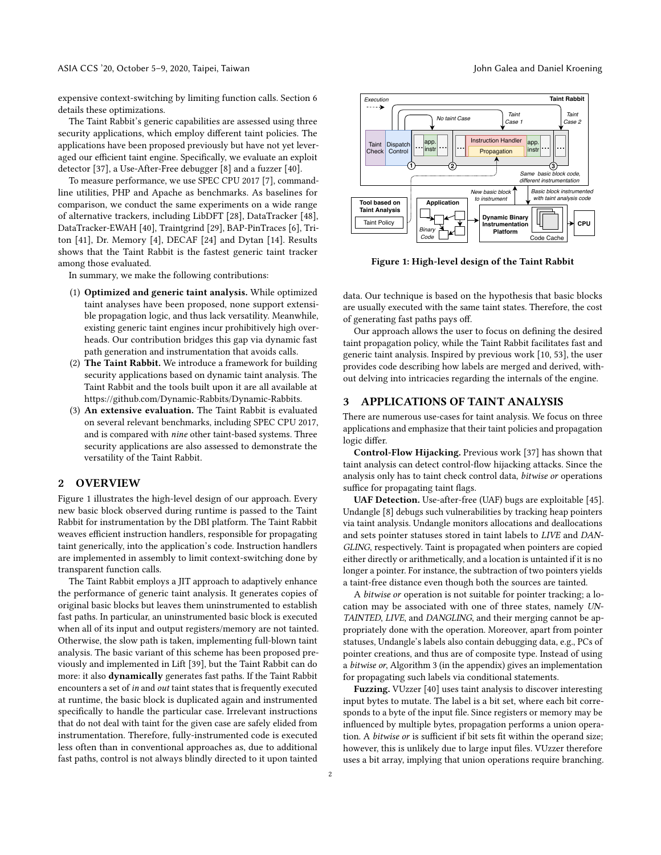expensive context-switching by limiting function calls. Section [6](#page-3-0) details these optimizations.

The Taint Rabbit's generic capabilities are assessed using three security applications, which employ different taint policies. The applications have been proposed previously but have not yet leveraged our efficient taint engine. Specifically, we evaluate an exploit detector [\[37\]](#page-11-5), a Use-After-Free debugger [\[8\]](#page-10-1) and a fuzzer [\[40\]](#page-11-3).

To measure performance, we use SPEC CPU 2017 [\[7\]](#page-10-5), commandline utilities, PHP and Apache as benchmarks. As baselines for comparison, we conduct the same experiments on a wide range of alternative trackers, including LibDFT [\[28\]](#page-11-7), DataTracker [\[48\]](#page-11-8), DataTracker-EWAH [\[40\]](#page-11-3), Traintgrind [\[29\]](#page-11-9), BAP-PinTraces [\[6\]](#page-10-6), Triton [\[41\]](#page-11-10), Dr. Memory [\[4\]](#page-10-7), DECAF [\[24\]](#page-11-11) and Dytan [\[14\]](#page-10-3). Results shows that the Taint Rabbit is the fastest generic taint tracker among those evaluated.

In summary, we make the following contributions:

- (1) Optimized and generic taint analysis. While optimized taint analyses have been proposed, none support extensible propagation logic, and thus lack versatility. Meanwhile, existing generic taint engines incur prohibitively high overheads. Our contribution bridges this gap via dynamic fast path generation and instrumentation that avoids calls.
- (2) The Taint Rabbit. We introduce a framework for building security applications based on dynamic taint analysis. The Taint Rabbit and the tools built upon it are all available at [https://github.com/Dynamic-Rabbits/Dynamic-Rabbits.](https://github.com/Dynamic-Rabbits/Dynamic-Rabbits)
- (3) An extensive evaluation. The Taint Rabbit is evaluated on several relevant benchmarks, including SPEC CPU 2017, and is compared with nine other taint-based systems. Three security applications are also assessed to demonstrate the versatility of the Taint Rabbit.

# 2 OVERVIEW

Figure [1](#page-1-0) illustrates the high-level design of our approach. Every new basic block observed during runtime is passed to the Taint Rabbit for instrumentation by the DBI platform. The Taint Rabbit weaves efficient instruction handlers, responsible for propagating taint generically, into the application's code. Instruction handlers are implemented in assembly to limit context-switching done by transparent function calls.

The Taint Rabbit employs a JIT approach to adaptively enhance the performance of generic taint analysis. It generates copies of original basic blocks but leaves them uninstrumented to establish fast paths. In particular, an uninstrumented basic block is executed when all of its input and output registers/memory are not tainted. Otherwise, the slow path is taken, implementing full-blown taint analysis. The basic variant of this scheme has been proposed previously and implemented in Lift [\[39\]](#page-11-12), but the Taint Rabbit can do more: it also dynamically generates fast paths. If the Taint Rabbit encounters a set of in and out taint states that is frequently executed at runtime, the basic block is duplicated again and instrumented specifically to handle the particular case. Irrelevant instructions that do not deal with taint for the given case are safely elided from instrumentation. Therefore, fully-instrumented code is executed less often than in conventional approaches as, due to additional fast paths, control is not always blindly directed to it upon tainted

<span id="page-1-0"></span>

Figure 1: High-level design of the Taint Rabbit

data. Our technique is based on the hypothesis that basic blocks are usually executed with the same taint states. Therefore, the cost of generating fast paths pays off.

Our approach allows the user to focus on defining the desired taint propagation policy, while the Taint Rabbit facilitates fast and generic taint analysis. Inspired by previous work [\[10,](#page-10-8) [53\]](#page-11-13), the user provides code describing how labels are merged and derived, without delving into intricacies regarding the internals of the engine.

# <span id="page-1-1"></span>3 APPLICATIONS OF TAINT ANALYSIS

There are numerous use-cases for taint analysis. We focus on three applications and emphasize that their taint policies and propagation logic differ.

Control-Flow Hijacking. Previous work [\[37\]](#page-11-5) has shown that taint analysis can detect control-flow hijacking attacks. Since the analysis only has to taint check control data, bitwise or operations suffice for propagating taint flags.

UAF Detection. Use-after-free (UAF) bugs are exploitable [\[45\]](#page-11-14). Undangle [\[8\]](#page-10-1) debugs such vulnerabilities by tracking heap pointers via taint analysis. Undangle monitors allocations and deallocations and sets pointer statuses stored in taint labels to LIVE and DAN-GLING, respectively. Taint is propagated when pointers are copied either directly or arithmetically, and a location is untainted if it is no longer a pointer. For instance, the subtraction of two pointers yields a taint-free distance even though both the sources are tainted.

A bitwise or operation is not suitable for pointer tracking; a location may be associated with one of three states, namely UN-TAINTED, LIVE, and DANGLING, and their merging cannot be appropriately done with the operation. Moreover, apart from pointer statuses, Undangle's labels also contain debugging data, e.g., PCs of pointer creations, and thus are of composite type. Instead of using a bitwise or, Algorithm [3](#page-12-0) (in the appendix) gives an implementation for propagating such labels via conditional statements.

Fuzzing. VUzzer [\[40\]](#page-11-3) uses taint analysis to discover interesting input bytes to mutate. The label is a bit set, where each bit corresponds to a byte of the input file. Since registers or memory may be influenced by multiple bytes, propagation performs a union operation. A bitwise or is sufficient if bit sets fit within the operand size; however, this is unlikely due to large input files. VUzzer therefore uses a bit array, implying that union operations require branching.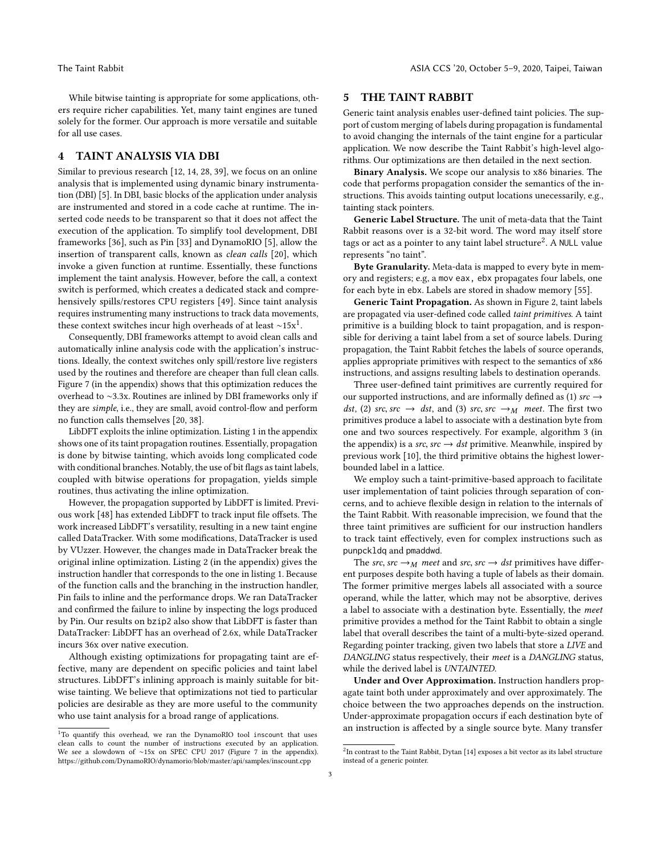While bitwise tainting is appropriate for some applications, others require richer capabilities. Yet, many taint engines are tuned solely for the former. Our approach is more versatile and suitable for all use cases.

# 4 TAINT ANALYSIS VIA DBI

Similar to previous research [\[12,](#page-10-9) [14,](#page-10-3) [28,](#page-11-7) [39\]](#page-11-12), we focus on an online analysis that is implemented using dynamic binary instrumentation (DBI) [\[5\]](#page-10-4). In DBI, basic blocks of the application under analysis are instrumented and stored in a code cache at runtime. The inserted code needs to be transparent so that it does not affect the execution of the application. To simplify tool development, DBI frameworks [\[36\]](#page-11-15), such as Pin [\[33\]](#page-11-16) and DynamoRIO [\[5\]](#page-10-4), allow the insertion of transparent calls, known as clean calls [\[20\]](#page-11-17), which invoke a given function at runtime. Essentially, these functions implement the taint analysis. However, before the call, a context switch is performed, which creates a dedicated stack and comprehensively spills/restores CPU registers [\[49\]](#page-11-18). Since taint analysis requires instrumenting many instructions to track data movements, these context switches incur high overheads of at least  $\sim$ [1](#page-2-1)5x<sup>1</sup>.

Consequently, DBI frameworks attempt to avoid clean calls and automatically inline analysis code with the application's instructions. Ideally, the context switches only spill/restore live registers used by the routines and therefore are cheaper than full clean calls. Figure [7](#page-11-19) (in the appendix) shows that this optimization reduces the overhead to ∼3.3x. Routines are inlined by DBI frameworks only if they are simple, i.e., they are small, avoid control-flow and perform no function calls themselves [\[20,](#page-11-17) [38\]](#page-11-20).

LibDFT exploits the inline optimization. Listing [1](#page-11-21) in the appendix shows one of its taint propagation routines. Essentially, propagation is done by bitwise tainting, which avoids long complicated code with conditional branches. Notably, the use of bit flags as taint labels, coupled with bitwise operations for propagation, yields simple routines, thus activating the inline optimization.

However, the propagation supported by LibDFT is limited. Previous work [\[48\]](#page-11-8) has extended LibDFT to track input file offsets. The work increased LibDFT's versatility, resulting in a new taint engine called DataTracker. With some modifications, DataTracker is used by VUzzer. However, the changes made in DataTracker break the original inline optimization. Listing [2](#page-12-1) (in the appendix) gives the instruction handler that corresponds to the one in listing [1.](#page-11-21) Because of the function calls and the branching in the instruction handler, Pin fails to inline and the performance drops. We ran DataTracker and confirmed the failure to inline by inspecting the logs produced by Pin. Our results on bzip2 also show that LibDFT is faster than DataTracker: LibDFT has an overhead of 2.6x, while DataTracker incurs 36x over native execution.

Although existing optimizations for propagating taint are effective, many are dependent on specific policies and taint label structures. LibDFT's inlining approach is mainly suitable for bitwise tainting. We believe that optimizations not tied to particular policies are desirable as they are more useful to the community who use taint analysis for a broad range of applications.

# <span id="page-2-0"></span>5 THE TAINT RABBIT

Generic taint analysis enables user-defined taint policies. The support of custom merging of labels during propagation is fundamental to avoid changing the internals of the taint engine for a particular application. We now describe the Taint Rabbit's high-level algorithms. Our optimizations are then detailed in the next section.

Binary Analysis. We scope our analysis to x86 binaries. The code that performs propagation consider the semantics of the instructions. This avoids tainting output locations unecessarily, e.g., tainting stack pointers.

Generic Label Structure. The unit of meta-data that the Taint Rabbit reasons over is a 32-bit word. The word may itself store tags or act as a pointer to any taint label structure $^2$  $^2$ . A NULL value represents "no taint".

Byte Granularity. Meta-data is mapped to every byte in memory and registers; e.g, a mov eax, ebx propagates four labels, one for each byte in ebx. Labels are stored in shadow memory [\[55\]](#page-11-22).

Generic Taint Propagation. As shown in Figure [2,](#page-3-1) taint labels are propagated via user-defined code called taint primitives. A taint primitive is a building block to taint propagation, and is responsible for deriving a taint label from a set of source labels. During propagation, the Taint Rabbit fetches the labels of source operands, applies appropriate primitives with respect to the semantics of x86 instructions, and assigns resulting labels to destination operands.

Three user-defined taint primitives are currently required for our supported instructions, and are informally defined as (1)  $src \rightarrow$ dst, (2) src, src  $\rightarrow$  dst, and (3) src, src  $\rightarrow_M$  meet. The first two primitives produce a label to associate with a destination byte from one and two sources respectively. For example, algorithm [3](#page-12-0) (in the appendix) is a src, src  $\rightarrow$  dst primitive. Meanwhile, inspired by previous work [\[10\]](#page-10-8), the third primitive obtains the highest lowerbounded label in a lattice.

We employ such a taint-primitive-based approach to facilitate user implementation of taint policies through separation of concerns, and to achieve flexible design in relation to the internals of the Taint Rabbit. With reasonable imprecision, we found that the three taint primitives are sufficient for our instruction handlers to track taint effectively, even for complex instructions such as punpckldq and pmaddwd.

The src, src  $\rightarrow_M$  meet and src, src  $\rightarrow$  dst primitives have different purposes despite both having a tuple of labels as their domain. The former primitive merges labels all associated with a source operand, while the latter, which may not be absorptive, derives a label to associate with a destination byte. Essentially, the meet primitive provides a method for the Taint Rabbit to obtain a single label that overall describes the taint of a multi-byte-sized operand. Regarding pointer tracking, given two labels that store a LIVE and DANGLING status respectively, their meet is a DANGLING status, while the derived label is UNTAINTED.

Under and Over Approximation. Instruction handlers propagate taint both under approximately and over approximately. The choice between the two approaches depends on the instruction. Under-approximate propagation occurs if each destination byte of an instruction is affected by a single source byte. Many transfer

<span id="page-2-1"></span><sup>1</sup>To quantify this overhead, we ran the DynamoRIO tool inscount that uses clean calls to count the number of instructions executed by an application. We see a slowdown of ∼15x on SPEC CPU 2017 (Figure [7](#page-11-19) in the appendix). <https://github.com/DynamoRIO/dynamorio/blob/master/api/samples/inscount.cpp>

<span id="page-2-2"></span> $^{2}$ In contrast to the Taint Rabbit, Dytan [\[14\]](#page-10-3) exposes a bit vector as its label structure instead of a generic pointer.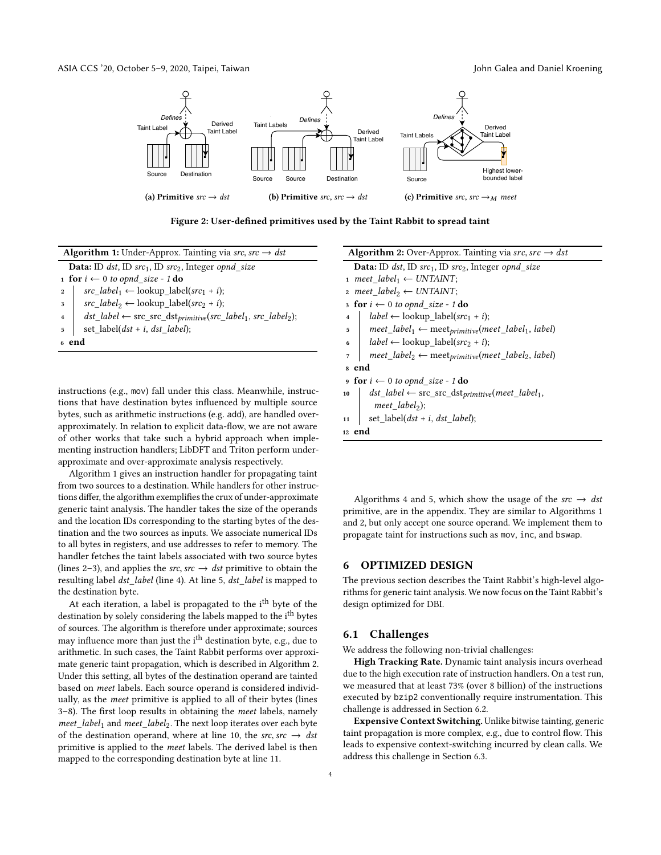<span id="page-3-1"></span>

Figure 2: User-defined primitives used by the Taint Rabbit to spread taint

| <b>Algorithm 1:</b> Under-Approx. Tainting via src, src $\rightarrow$ dst                        |  |  |  |  |  |  |  |
|--------------------------------------------------------------------------------------------------|--|--|--|--|--|--|--|
| <b>Data:</b> ID dst, ID src <sub>1</sub> , ID src <sub>2</sub> , Integer opnd size               |  |  |  |  |  |  |  |
| 1 for $i \leftarrow 0$ to opnd size - 1 do                                                       |  |  |  |  |  |  |  |
| $src\_label_1 \leftarrow lookup\_label(src_1 + i);$<br>$\overline{2}$                            |  |  |  |  |  |  |  |
| src label <sub>2</sub> $\leftarrow$ lookup label(src <sub>2</sub> + i);<br>3                     |  |  |  |  |  |  |  |
| $dst\_label \leftarrow src\_src\_dst_{primitive}(src\_label_1, src\_label_2);$<br>$\overline{4}$ |  |  |  |  |  |  |  |
| set_label( $dst + i$ , $dst\_label$ );<br>5                                                      |  |  |  |  |  |  |  |
| 6 end                                                                                            |  |  |  |  |  |  |  |
|                                                                                                  |  |  |  |  |  |  |  |
|                                                                                                  |  |  |  |  |  |  |  |
|                                                                                                  |  |  |  |  |  |  |  |

<span id="page-3-2"></span>instructions (e.g., mov) fall under this class. Meanwhile, instructions that have destination bytes influenced by multiple source bytes, such as arithmetic instructions (e.g. add), are handled overapproximately. In relation to explicit data-flow, we are not aware of other works that take such a hybrid approach when implementing instruction handlers; LibDFT and Triton perform underapproximate and over-approximate analysis respectively.

Algorithm [1](#page-3-2) gives an instruction handler for propagating taint from two sources to a destination. While handlers for other instructions differ, the algorithm exemplifies the crux of under-approximate generic taint analysis. The handler takes the size of the operands and the location IDs corresponding to the starting bytes of the destination and the two sources as inputs. We associate numerical IDs to all bytes in registers, and use addresses to refer to memory. The handler fetches the taint labels associated with two source bytes (lines 2–3), and applies the *src*, *src*  $\rightarrow$  *dst* primitive to obtain the resulting label dst\_label (line 4). At line 5, dst\_label is mapped to the destination byte.

At each iteration, a label is propagated to the i<sup>th</sup> byte of the destination by solely considering the labels mapped to the i<sup>th</sup> bytes of sources. The algorithm is therefore under approximate; sources may influence more than just the i<sup>th</sup> destination byte, e.g., due to arithmetic. In such cases, the Taint Rabbit performs over approximate generic taint propagation, which is described in Algorithm [2.](#page-3-3) Under this setting, all bytes of the destination operand are tainted based on meet labels. Each source operand is considered individually, as the meet primitive is applied to all of their bytes (lines 3–8). The first loop results in obtaining the meet labels, namely  $meet\_label_1$  and  $meet\_label_2$ . The next loop iterates over each byte of the destination operand, where at line 10, the src, src  $\rightarrow$  dst primitive is applied to the meet labels. The derived label is then mapped to the corresponding destination byte at line 11.

| <b>Algorithm 2:</b> Over-Approx. Tainting via src, src $\rightarrow$ dst                              |
|-------------------------------------------------------------------------------------------------------|
| <b>Data:</b> ID dst, ID src <sub>1</sub> , ID src <sub>2</sub> , Integer opnd size                    |
| 1 meet label <sub>1</sub> $\leftarrow$ UNTAINT;                                                       |
| 2 meet label <sub>2</sub> $\leftarrow$ UNTAINT;                                                       |
| 3 for $i \leftarrow 0$ to opnd size - 1 do                                                            |
| $label \leftarrow$ lookup_label(src <sub>1</sub> + i);<br>$\overline{\mathbf{4}}$                     |
| meet_label <sub>1</sub> $\leftarrow$ meet <sub>primitive</sub> (meet_label <sub>1</sub> , label)<br>5 |
| $label \leftarrow$ lookup_label(src <sub>2</sub> + i);<br>6                                           |
| $meet\_label_2 \leftarrow meet\_label_2 \leftarrow meet\_label_2$ , label<br>7                        |
| 8 end                                                                                                 |
| <b>9 for</b> $i \leftarrow 0$ to opnd_size - 1 <b>do</b>                                              |
| $dst\_label \leftarrow src\_src\_dst_{primitive}(meet\_label_1,$<br>10                                |
| $meet\_label_2);$                                                                                     |
| set_label( $dst + i$ , $dst$ _label);<br>11                                                           |
| 12 end                                                                                                |

<span id="page-3-3"></span>Algorithms [4](#page-12-2) and [5,](#page-12-3) which show the usage of the  $src \rightarrow \text{dst}$ primitive, are in the appendix. They are similar to Algorithms [1](#page-3-2) and [2,](#page-3-3) but only accept one source operand. We implement them to propagate taint for instructions such as mov, inc, and bswap.

# <span id="page-3-0"></span>6 OPTIMIZED DESIGN

The previous section describes the Taint Rabbit's high-level algorithms for generic taint analysis. We now focus on the Taint Rabbit's design optimized for DBI.

### 6.1 Challenges

We address the following non-trivial challenges:

High Tracking Rate. Dynamic taint analysis incurs overhead due to the high execution rate of instruction handlers. On a test run, we measured that at least 73% (over 8 billion) of the instructions executed by bzip2 conventionally require instrumentation. This challenge is addressed in Section [6.2.](#page-4-0)

Expensive Context Switching. Unlike bitwise tainting, generic taint propagation is more complex, e.g., due to control flow. This leads to expensive context-switching incurred by clean calls. We address this challenge in Section [6.3.](#page-4-1)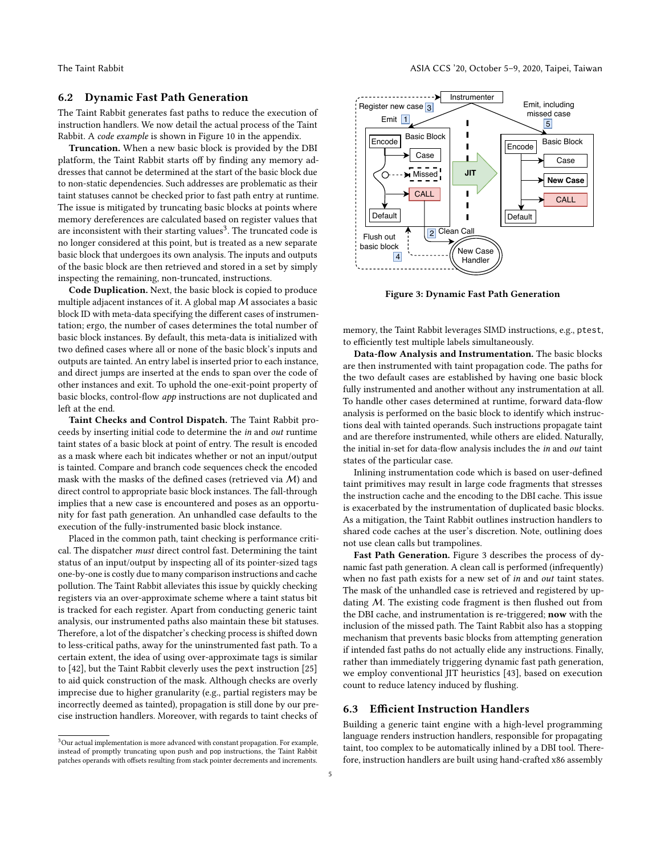# <span id="page-4-0"></span>6.2 Dynamic Fast Path Generation

The Taint Rabbit generates fast paths to reduce the execution of instruction handlers. We now detail the actual process of the Taint Rabbit. A code example is shown in Figure [10](#page-14-1) in the appendix.

Truncation. When a new basic block is provided by the DBI platform, the Taint Rabbit starts off by finding any memory addresses that cannot be determined at the start of the basic block due to non-static dependencies. Such addresses are problematic as their taint statuses cannot be checked prior to fast path entry at runtime. The issue is mitigated by truncating basic blocks at points where memory dereferences are calculated based on register values that are inconsistent with their starting values<sup>[3](#page-4-2)</sup>. The truncated code is no longer considered at this point, but is treated as a new separate basic block that undergoes its own analysis. The inputs and outputs of the basic block are then retrieved and stored in a set by simply inspecting the remaining, non-truncated, instructions.

Code Duplication. Next, the basic block is copied to produce multiple adjacent instances of it. A global map M associates a basic block ID with meta-data specifying the different cases of instrumentation; ergo, the number of cases determines the total number of basic block instances. By default, this meta-data is initialized with two defined cases where all or none of the basic block's inputs and outputs are tainted. An entry label is inserted prior to each instance, and direct jumps are inserted at the ends to span over the code of other instances and exit. To uphold the one-exit-point property of basic blocks, control-flow app instructions are not duplicated and left at the end.

Taint Checks and Control Dispatch. The Taint Rabbit proceeds by inserting initial code to determine the in and out runtime taint states of a basic block at point of entry. The result is encoded as a mask where each bit indicates whether or not an input/output is tainted. Compare and branch code sequences check the encoded mask with the masks of the defined cases (retrieved via M) and direct control to appropriate basic block instances. The fall-through implies that a new case is encountered and poses as an opportunity for fast path generation. An unhandled case defaults to the execution of the fully-instrumented basic block instance.

Placed in the common path, taint checking is performance critical. The dispatcher must direct control fast. Determining the taint status of an input/output by inspecting all of its pointer-sized tags one-by-one is costly due to many comparison instructions and cache pollution. The Taint Rabbit alleviates this issue by quickly checking registers via an over-approximate scheme where a taint status bit is tracked for each register. Apart from conducting generic taint analysis, our instrumented paths also maintain these bit statuses. Therefore, a lot of the dispatcher's checking process is shifted down to less-critical paths, away for the uninstrumented fast path. To a certain extent, the idea of using over-approximate tags is similar to [\[42\]](#page-11-23), but the Taint Rabbit cleverly uses the pext instruction [\[25\]](#page-11-24) to aid quick construction of the mask. Although checks are overly imprecise due to higher granularity (e.g., partial registers may be incorrectly deemed as tainted), propagation is still done by our precise instruction handlers. Moreover, with regards to taint checks of

<span id="page-4-3"></span>

Figure 3: Dynamic Fast Path Generation

memory, the Taint Rabbit leverages SIMD instructions, e.g., ptest, to efficiently test multiple labels simultaneously.

Data-flow Analysis and Instrumentation. The basic blocks are then instrumented with taint propagation code. The paths for the two default cases are established by having one basic block fully instrumented and another without any instrumentation at all. To handle other cases determined at runtime, forward data-flow analysis is performed on the basic block to identify which instructions deal with tainted operands. Such instructions propagate taint and are therefore instrumented, while others are elided. Naturally, the initial in-set for data-flow analysis includes the in and out taint states of the particular case.

Inlining instrumentation code which is based on user-defined taint primitives may result in large code fragments that stresses the instruction cache and the encoding to the DBI cache. This issue is exacerbated by the instrumentation of duplicated basic blocks. As a mitigation, the Taint Rabbit outlines instruction handlers to shared code caches at the user's discretion. Note, outlining does not use clean calls but trampolines.

Fast Path Generation. Figure [3](#page-4-3) describes the process of dynamic fast path generation. A clean call is performed (infrequently) when no fast path exists for a new set of *in* and *out* taint states. The mask of the unhandled case is retrieved and registered by updating M. The existing code fragment is then flushed out from the DBI cache, and instrumentation is re-triggered; now with the inclusion of the missed path. The Taint Rabbit also has a stopping mechanism that prevents basic blocks from attempting generation if intended fast paths do not actually elide any instructions. Finally, rather than immediately triggering dynamic fast path generation, we employ conventional JIT heuristics [\[43\]](#page-11-25), based on execution count to reduce latency induced by flushing.

### <span id="page-4-1"></span>6.3 Efficient Instruction Handlers

Building a generic taint engine with a high-level programming language renders instruction handlers, responsible for propagating taint, too complex to be automatically inlined by a DBI tool. Therefore, instruction handlers are built using hand-crafted x86 assembly

<span id="page-4-2"></span> $3$ Our actual implementation is more advanced with constant propagation. For example, instead of promptly truncating upon push and pop instructions, the Taint Rabbit patches operands with offsets resulting from stack pointer decrements and increments.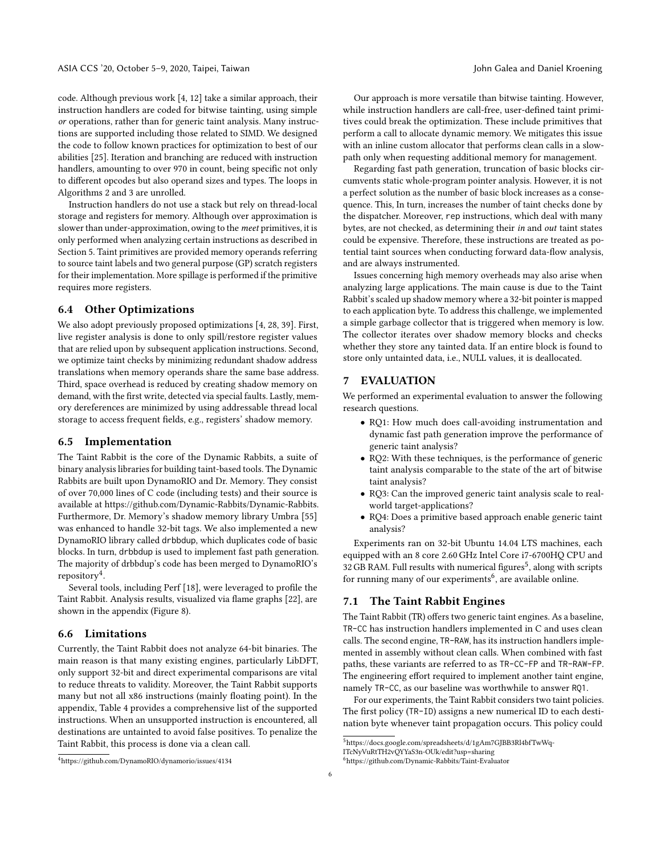code. Although previous work [\[4,](#page-10-7) [12\]](#page-10-9) take a similar approach, their instruction handlers are coded for bitwise tainting, using simple or operations, rather than for generic taint analysis. Many instructions are supported including those related to SIMD. We designed the code to follow known practices for optimization to best of our abilities [\[25\]](#page-11-24). Iteration and branching are reduced with instruction handlers, amounting to over 970 in count, being specific not only to different opcodes but also operand sizes and types. The loops in Algorithms 2 and 3 are unrolled.

Instruction handlers do not use a stack but rely on thread-local storage and registers for memory. Although over approximation is slower than under-approximation, owing to the meet primitives, it is only performed when analyzing certain instructions as described in Section [5.](#page-2-0) Taint primitives are provided memory operands referring to source taint labels and two general purpose (GP) scratch registers for their implementation. More spillage is performed if the primitive requires more registers.

# 6.4 Other Optimizations

We also adopt previously proposed optimizations [\[4,](#page-10-7) [28,](#page-11-7) [39\]](#page-11-12). First, live register analysis is done to only spill/restore register values that are relied upon by subsequent application instructions. Second, we optimize taint checks by minimizing redundant shadow address translations when memory operands share the same base address. Third, space overhead is reduced by creating shadow memory on demand, with the first write, detected via special faults. Lastly, memory dereferences are minimized by using addressable thread local storage to access frequent fields, e.g., registers' shadow memory.

# 6.5 Implementation

The Taint Rabbit is the core of the Dynamic Rabbits, a suite of binary analysis libraries for building taint-based tools. The Dynamic Rabbits are built upon DynamoRIO and Dr. Memory. They consist of over 70,000 lines of C code (including tests) and their source is available at [https://github.com/Dynamic-Rabbits/Dynamic-Rabbits.](https://github.com/Dynamic-Rabbits/Dynamic-Rabbits) Furthermore, Dr. Memory's shadow memory library Umbra [\[55\]](#page-11-22) was enhanced to handle 32-bit tags. We also implemented a new DynamoRIO library called drbbdup, which duplicates code of basic blocks. In turn, drbbdup is used to implement fast path generation. The majority of drbbdup's code has been merged to DynamoRIO's repository[4](#page-5-0) .

Several tools, including Perf [\[18\]](#page-10-10), were leveraged to profile the Taint Rabbit. Analysis results, visualized via flame graphs [\[22\]](#page-11-26), are shown in the appendix (Figure [8\)](#page-12-4).

# 6.6 Limitations

Currently, the Taint Rabbit does not analyze 64-bit binaries. The main reason is that many existing engines, particularly LibDFT, only support 32-bit and direct experimental comparisons are vital to reduce threats to validity. Moreover, the Taint Rabbit supports many but not all x86 instructions (mainly floating point). In the appendix, Table [4](#page-13-0) provides a comprehensive list of the supported instructions. When an unsupported instruction is encountered, all destinations are untainted to avoid false positives. To penalize the Taint Rabbit, this process is done via a clean call.

Our approach is more versatile than bitwise tainting. However, while instruction handlers are call-free, user-defined taint primitives could break the optimization. These include primitives that perform a call to allocate dynamic memory. We mitigates this issue with an inline custom allocator that performs clean calls in a slowpath only when requesting additional memory for management.

Regarding fast path generation, truncation of basic blocks circumvents static whole-program pointer analysis. However, it is not a perfect solution as the number of basic block increases as a consequence. This, In turn, increases the number of taint checks done by the dispatcher. Moreover, rep instructions, which deal with many bytes, are not checked, as determining their in and out taint states could be expensive. Therefore, these instructions are treated as potential taint sources when conducting forward data-flow analysis, and are always instrumented.

Issues concerning high memory overheads may also arise when analyzing large applications. The main cause is due to the Taint Rabbit's scaled up shadow memory where a 32-bit pointer is mapped to each application byte. To address this challenge, we implemented a simple garbage collector that is triggered when memory is low. The collector iterates over shadow memory blocks and checks whether they store any tainted data. If an entire block is found to store only untainted data, i.e., NULL values, it is deallocated.

# 7 EVALUATION

We performed an experimental evaluation to answer the following research questions.

- RQ1: How much does call-avoiding instrumentation and dynamic fast path generation improve the performance of generic taint analysis?
- RQ2: With these techniques, is the performance of generic taint analysis comparable to the state of the art of bitwise taint analysis?
- RQ3: Can the improved generic taint analysis scale to realworld target-applications?
- RQ4: Does a primitive based approach enable generic taint analysis?

Experiments ran on 32-bit Ubuntu 14.04 LTS machines, each equipped with an 8 core 2.60 GHz Intel Core i7-6700HQ CPU and 32 GB RAM. Full results with numerical figures<sup>[5](#page-5-1)</sup>, along with scripts for running many of our experiments $^6$  $^6$ , are available online.

# 7.1 The Taint Rabbit Engines

The Taint Rabbit (TR) offers two generic taint engines. As a baseline, TR-CC has instruction handlers implemented in C and uses clean calls. The second engine, TR-RAW, has its instruction handlers implemented in assembly without clean calls. When combined with fast paths, these variants are referred to as TR-CC-FP and TR-RAW-FP. The engineering effort required to implement another taint engine, namely TR-CC, as our baseline was worthwhile to answer RQ1.

For our experiments, the Taint Rabbit considers two taint policies. The first policy (TR-ID) assigns a new numerical ID to each destination byte whenever taint propagation occurs. This policy could

<span id="page-5-0"></span><sup>4</sup>https://github.com/DynamoRIO/dynamorio/issues/4134

<span id="page-5-1"></span> $^{5}$ https://docs.google.com/spreadsheets/d/1gAm7GJBB3Rl4bf $\mathrm{TwWq}\text{-}$ 

[ITcNyVuRtTH2vQYYaS3n-OUk/edit?usp=sharing](https://docs.google.com/spreadsheets/d/1gAm7GJBB3Rl4bfTwWq-ITcNyVuRtTH2vQYYaS3n-OUk/edit?usp=sharing)

<span id="page-5-2"></span><sup>6</sup><https://github.com/Dynamic-Rabbits/Taint-Evaluator>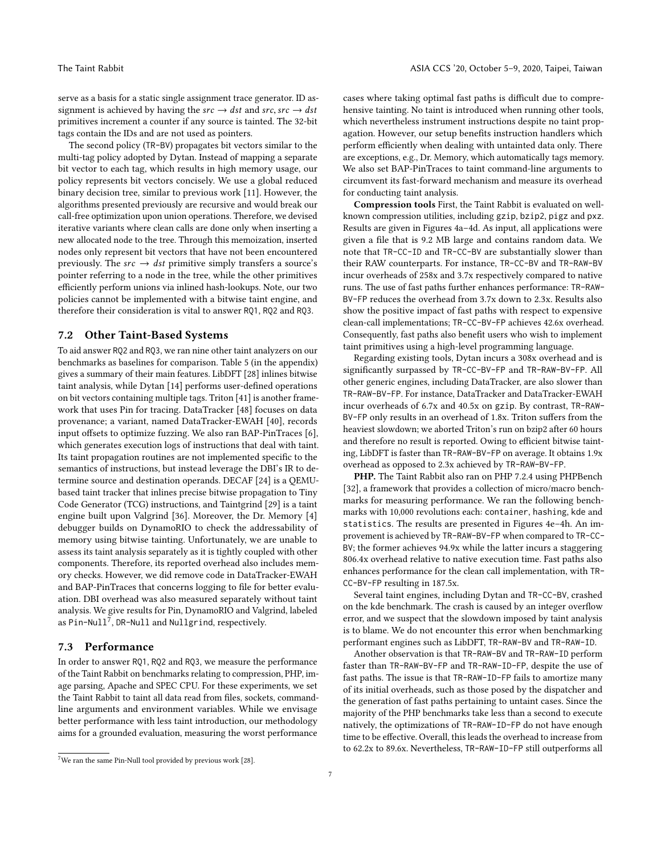serve as a basis for a static single assignment trace generator. ID assignment is achieved by having the  $src \rightarrow dst$  and  $src, src \rightarrow dst$ primitives increment a counter if any source is tainted. The 32-bit tags contain the IDs and are not used as pointers.

The second policy (TR-BV) propagates bit vectors similar to the multi-tag policy adopted by Dytan. Instead of mapping a separate bit vector to each tag, which results in high memory usage, our policy represents bit vectors concisely. We use a global reduced binary decision tree, similar to previous work [\[11\]](#page-10-2). However, the algorithms presented previously are recursive and would break our call-free optimization upon union operations. Therefore, we devised iterative variants where clean calls are done only when inserting a new allocated node to the tree. Through this memoization, inserted nodes only represent bit vectors that have not been encountered previously. The  $src \rightarrow \text{dst primitive simply transfers a source's}$ pointer referring to a node in the tree, while the other primitives efficiently perform unions via inlined hash-lookups. Note, our two policies cannot be implemented with a bitwise taint engine, and therefore their consideration is vital to answer RQ1, RQ2 and RQ3.

### 7.2 Other Taint-Based Systems

To aid answer RQ2 and RQ3, we ran nine other taint analyzers on our benchmarks as baselines for comparison. Table [5](#page-13-1) (in the appendix) gives a summary of their main features. LibDFT [\[28\]](#page-11-7) inlines bitwise taint analysis, while Dytan [\[14\]](#page-10-3) performs user-defined operations on bit vectors containing multiple tags. Triton [\[41\]](#page-11-10) is another framework that uses Pin for tracing. DataTracker [\[48\]](#page-11-8) focuses on data provenance; a variant, named DataTracker-EWAH [\[40\]](#page-11-3), records input offsets to optimize fuzzing. We also ran BAP-PinTraces [\[6\]](#page-10-6), which generates execution logs of instructions that deal with taint. Its taint propagation routines are not implemented specific to the semantics of instructions, but instead leverage the DBI's IR to determine source and destination operands. DECAF [\[24\]](#page-11-11) is a QEMUbased taint tracker that inlines precise bitwise propagation to Tiny Code Generator (TCG) instructions, and Taintgrind [\[29\]](#page-11-9) is a taint engine built upon Valgrind [\[36\]](#page-11-15). Moreover, the Dr. Memory [\[4\]](#page-10-7) debugger builds on DynamoRIO to check the addressability of memory using bitwise tainting. Unfortunately, we are unable to assess its taint analysis separately as it is tightly coupled with other components. Therefore, its reported overhead also includes memory checks. However, we did remove code in DataTracker-EWAH and BAP-PinTraces that concerns logging to file for better evaluation. DBI overhead was also measured separately without taint analysis. We give results for Pin, DynamoRIO and Valgrind, labeled as <code>Pin-Null $^7$  $^7$ ,DR-Null</code> and <code>Nullgrind</code>, respectively.

# <span id="page-6-1"></span>7.3 Performance

In order to answer RQ1, RQ2 and RQ3, we measure the performance of the Taint Rabbit on benchmarks relating to compression, PHP, image parsing, Apache and SPEC CPU. For these experiments, we set the Taint Rabbit to taint all data read from files, sockets, commandline arguments and environment variables. While we envisage better performance with less taint introduction, our methodology aims for a grounded evaluation, measuring the worst performance

cases where taking optimal fast paths is difficult due to comprehensive tainting. No taint is introduced when running other tools, which nevertheless instrument instructions despite no taint propagation. However, our setup benefits instruction handlers which perform efficiently when dealing with untainted data only. There are exceptions, e.g., Dr. Memory, which automatically tags memory. We also set BAP-PinTraces to taint command-line arguments to circumvent its fast-forward mechanism and measure its overhead for conducting taint analysis.

Compression tools First, the Taint Rabbit is evaluated on wellknown compression utilities, including gzip, bzip2, pigz and pxz. Results are given in Figures [4a–4d.](#page-7-0) As input, all applications were given a file that is 9.2 MB large and contains random data. We note that TR-CC-ID and TR-CC-BV are substantially slower than their RAW counterparts. For instance, TR-CC-BV and TR-RAW-BV incur overheads of 258x and 3.7x respectively compared to native runs. The use of fast paths further enhances performance: TR-RAW-BV-FP reduces the overhead from 3.7x down to 2.3x. Results also show the positive impact of fast paths with respect to expensive clean-call implementations; TR-CC-BV-FP achieves 42.6x overhead. Consequently, fast paths also benefit users who wish to implement taint primitives using a high-level programming language.

Regarding existing tools, Dytan incurs a 308x overhead and is significantly surpassed by TR-CC-BV-FP and TR-RAW-BV-FP. All other generic engines, including DataTracker, are also slower than TR-RAW-BV-FP. For instance, DataTracker and DataTracker-EWAH incur overheads of 6.7x and 40.5x on gzip. By contrast, TR-RAW-BV-FP only results in an overhead of 1.8x. Triton suffers from the heaviest slowdown; we aborted Triton's run on bzip2 after 60 hours and therefore no result is reported. Owing to efficient bitwise tainting, LibDFT is faster than TR-RAW-BV-FP on average. It obtains 1.9x overhead as opposed to 2.3x achieved by TR-RAW-BV-FP.

PHP. The Taint Rabbit also ran on PHP 7.2.4 using PHPBench [\[32\]](#page-11-27), a framework that provides a collection of micro/macro benchmarks for measuring performance. We ran the following benchmarks with 10,000 revolutions each: container, hashing, kde and statistics. The results are presented in Figures [4e–4h.](#page-7-0) An improvement is achieved by TR-RAW-BV-FP when compared to TR-CC-BV; the former achieves 94.9x while the latter incurs a staggering 806.4x overhead relative to native execution time. Fast paths also enhances performance for the clean call implementation, with TR-CC-BV-FP resulting in 187.5x.

Several taint engines, including Dytan and TR-CC-BV, crashed on the kde benchmark. The crash is caused by an integer overflow error, and we suspect that the slowdown imposed by taint analysis is to blame. We do not encounter this error when benchmarking performant engines such as LibDFT, TR-RAW-BV and TR-RAW-ID.

Another observation is that TR-RAW-BV and TR-RAW-ID perform faster than TR-RAW-BV-FP and TR-RAW-ID-FP, despite the use of fast paths. The issue is that TR-RAW-ID-FP fails to amortize many of its initial overheads, such as those posed by the dispatcher and the generation of fast paths pertaining to untaint cases. Since the majority of the PHP benchmarks take less than a second to execute natively, the optimizations of TR-RAW-ID-FP do not have enough time to be effective. Overall, this leads the overhead to increase from to 62.2x to 89.6x. Nevertheless, TR-RAW-ID-FP still outperforms all

<span id="page-6-0"></span> $^7\rm{We}$  ran the same Pin-Null tool provided by previous work [\[28\]](#page-11-7).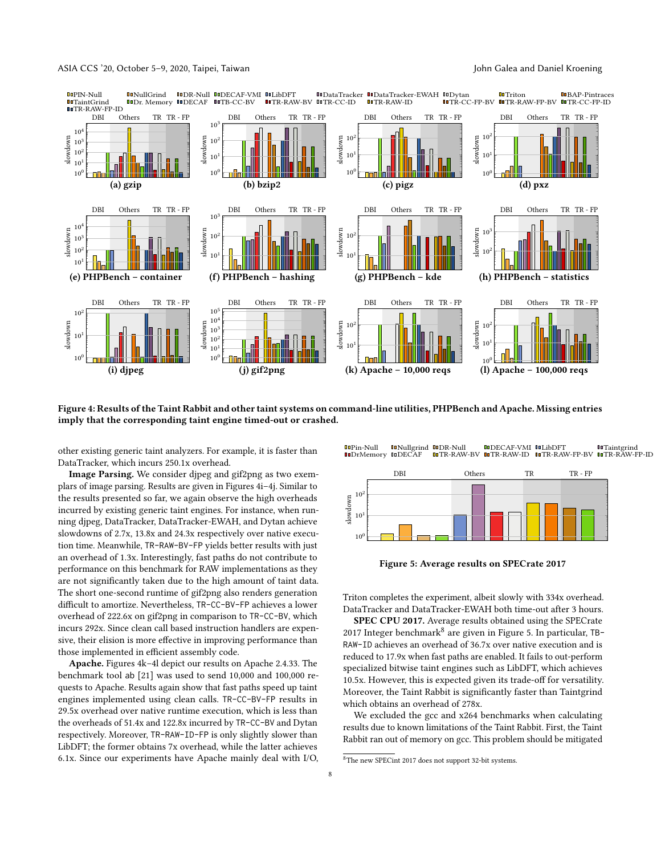<span id="page-7-0"></span>

Figure 4: Results of the Taint Rabbit and other taint systems on command-line utilities, PHPBench and Apache. Missing entries imply that the corresponding taint engine timed-out or crashed.

other existing generic taint analyzers. For example, it is faster than DataTracker, which incurs 250.1x overhead.

Image Parsing. We consider djpeg and gif2png as two exemplars of image parsing. Results are given in Figures [4i–4j.](#page-7-0) Similar to the results presented so far, we again observe the high overheads incurred by existing generic taint engines. For instance, when running djpeg, DataTracker, DataTracker-EWAH, and Dytan achieve slowdowns of 2.7x, 13.8x and 24.3x respectively over native execution time. Meanwhile, TR-RAW-BV-FP yields better results with just an overhead of 1.3x. Interestingly, fast paths do not contribute to performance on this benchmark for RAW implementations as they are not significantly taken due to the high amount of taint data. The short one-second runtime of gif2png also renders generation difficult to amortize. Nevertheless, TR-CC-BV-FP achieves a lower overhead of 222.6x on gif2png in comparison to TR-CC-BV, which incurs 292x. Since clean call based instruction handlers are expensive, their elision is more effective in improving performance than those implemented in efficient assembly code.

Apache. Figures [4k–4l](#page-7-0) depict our results on Apache 2.4.33. The benchmark tool ab [\[21\]](#page-11-28) was used to send 10,000 and 100,000 requests to Apache. Results again show that fast paths speed up taint engines implemented using clean calls. TR-CC-BV-FP results in 29.5x overhead over native runtime execution, which is less than the overheads of 51.4x and 122.8x incurred by TR-CC-BV and Dytan respectively. Moreover, TR-RAW-ID-FP is only slightly slower than LibDFT; the former obtains 7x overhead, while the latter achieves 6.1x. Since our experiments have Apache mainly deal with I/O,

<span id="page-7-2"></span>

Figure 5: Average results on SPECrate 2017

Triton completes the experiment, albeit slowly with 334x overhead. DataTracker and DataTracker-EWAH both time-out after 3 hours.

SPEC CPU 2017. Average results obtained using the SPECrate 2017 Integer benchmark<sup>[8](#page-7-1)</sup> are given in Figure [5.](#page-7-2) In particular, TB-RAW-ID achieves an overhead of 36.7x over native execution and is reduced to 17.9x when fast paths are enabled. It fails to out-perform specialized bitwise taint engines such as LibDFT, which achieves 10.5x. However, this is expected given its trade-off for versatility. Moreover, the Taint Rabbit is significantly faster than Taintgrind which obtains an overhead of 278x.

We excluded the gcc and x264 benchmarks when calculating results due to known limitations of the Taint Rabbit. First, the Taint Rabbit ran out of memory on gcc. This problem should be mitigated

<span id="page-7-1"></span> $^8{\rm The}$  new SPEC<br>int 2017 does not support 32-bit systems.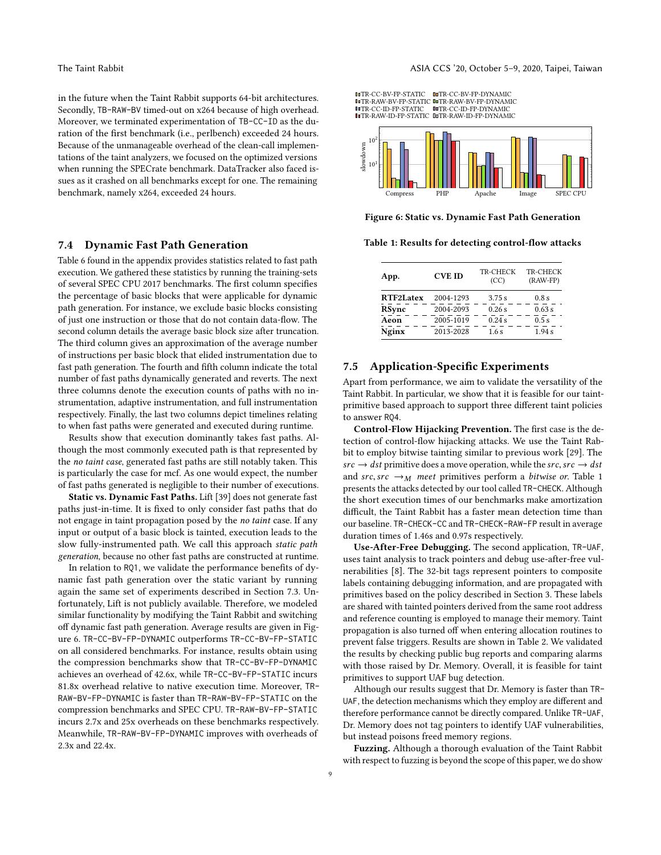in the future when the Taint Rabbit supports 64-bit architectures. Secondly, TB-RAW-BV timed-out on x264 because of high overhead. Moreover, we terminated experimentation of TB-CC-ID as the duration of the first benchmark (i.e., perlbench) exceeded 24 hours. Because of the unmanageable overhead of the clean-call implementations of the taint analyzers, we focused on the optimized versions when running the SPECrate benchmark. DataTracker also faced issues as it crashed on all benchmarks except for one. The remaining benchmark, namely x264, exceeded 24 hours.

### 7.4 Dynamic Fast Path Generation

Table [6](#page-13-2) found in the appendix provides statistics related to fast path execution. We gathered these statistics by running the training-sets of several SPEC CPU 2017 benchmarks. The first column specifies the percentage of basic blocks that were applicable for dynamic path generation. For instance, we exclude basic blocks consisting of just one instruction or those that do not contain data-flow. The second column details the average basic block size after truncation. The third column gives an approximation of the average number of instructions per basic block that elided instrumentation due to fast path generation. The fourth and fifth column indicate the total number of fast paths dynamically generated and reverts. The next three columns denote the execution counts of paths with no instrumentation, adaptive instrumentation, and full instrumentation respectively. Finally, the last two columns depict timelines relating to when fast paths were generated and executed during runtime.

Results show that execution dominantly takes fast paths. Although the most commonly executed path is that represented by the no taint case, generated fast paths are still notably taken. This is particularly the case for mcf. As one would expect, the number of fast paths generated is negligible to their number of executions.

Static vs. Dynamic Fast Paths. Lift [\[39\]](#page-11-12) does not generate fast paths just-in-time. It is fixed to only consider fast paths that do not engage in taint propagation posed by the no taint case. If any input or output of a basic block is tainted, execution leads to the slow fully-instrumented path. We call this approach static path generation, because no other fast paths are constructed at runtime.

In relation to RQ1, we validate the performance benefits of dynamic fast path generation over the static variant by running again the same set of experiments described in Section [7.3.](#page-6-1) Unfortunately, Lift is not publicly available. Therefore, we modeled similar functionality by modifying the Taint Rabbit and switching off dynamic fast path generation. Average results are given in Figure [6.](#page-8-0) TR-CC-BV-FP-DYNAMIC outperforms TR-CC-BV-FP-STATIC on all considered benchmarks. For instance, results obtain using the compression benchmarks show that TR-CC-BV-FP-DYNAMIC achieves an overhead of 42.6x, while TR-CC-BV-FP-STATIC incurs 81.8x overhead relative to native execution time. Moreover, TR-RAW-BV-FP-DYNAMIC is faster than TR-RAW-BV-FP-STATIC on the compression benchmarks and SPEC CPU. TR-RAW-BV-FP-STATIC incurs 2.7x and 25x overheads on these benchmarks respectively. Meanwhile, TR-RAW-BV-FP-DYNAMIC improves with overheads of 2.3x and 22.4x.

<span id="page-8-0"></span>

#### Figure 6: Static vs. Dynamic Fast Path Generation

<span id="page-8-1"></span>Table 1: Results for detecting control-flow attacks

| App.         | <b>CVE ID</b> | <b>TR-CHECK</b><br>(CC) | <b>TR-CHECK</b><br>(RAW-FP) |
|--------------|---------------|-------------------------|-----------------------------|
| RTF2Latex    | 2004-1293     | 3.75 s                  | 0.8s                        |
| <b>RSync</b> | 2004-2093     | 0.26s                   | 0.63 s                      |
| Aeon         | 2005-1019     | 0.24s                   | 0.5s                        |
| Nginx        | 2013-2028     | 1.6s                    | 1.94s                       |

# 7.5 Application-Specific Experiments

Apart from performance, we aim to validate the versatility of the Taint Rabbit. In particular, we show that it is feasible for our taintprimitive based approach to support three different taint policies to answer RQ4.

Control-Flow Hijacking Prevention. The first case is the detection of control-flow hijacking attacks. We use the Taint Rabbit to employ bitwise tainting similar to previous work [\[29\]](#page-11-9). The  $src \rightarrow \text{dst primitive does a move operation, while the src, src} \rightarrow \text{dst}$ and src, src  $\rightarrow_M$  meet primitives perform a bitwise or. Table [1](#page-8-1) presents the attacks detected by our tool called TR-CHECK. Although the short execution times of our benchmarks make amortization difficult, the Taint Rabbit has a faster mean detection time than our baseline. TR-CHECK-CC and TR-CHECK-RAW-FP result in average duration times of 1.46s and 0.97s respectively.

Use-After-Free Debugging. The second application, TR-UAF, uses taint analysis to track pointers and debug use-after-free vulnerabilities [\[8\]](#page-10-1). The 32-bit tags represent pointers to composite labels containing debugging information, and are propagated with primitives based on the policy described in Section [3.](#page-1-1) These labels are shared with tainted pointers derived from the same root address and reference counting is employed to manage their memory. Taint propagation is also turned off when entering allocation routines to prevent false triggers. Results are shown in Table [2.](#page-9-0) We validated the results by checking public bug reports and comparing alarms with those raised by Dr. Memory. Overall, it is feasible for taint primitives to support UAF bug detection.

Although our results suggest that Dr. Memory is faster than TR-UAF, the detection mechanisms which they employ are different and therefore performance cannot be directly compared. Unlike TR-UAF, Dr. Memory does not tag pointers to identify UAF vulnerabilities, but instead poisons freed memory regions.

Fuzzing. Although a thorough evaluation of the Taint Rabbit with respect to fuzzing is beyond the scope of this paper, we do show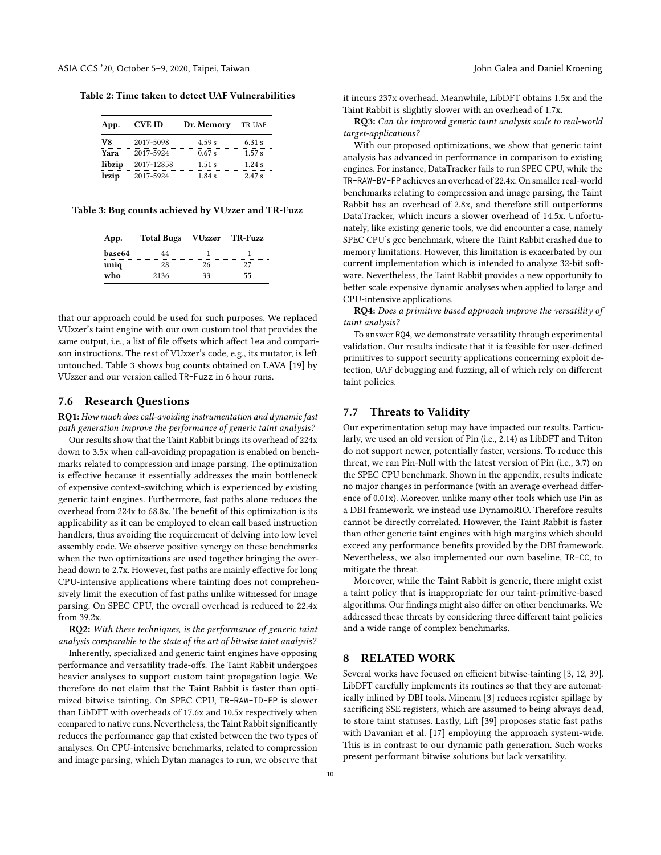<span id="page-9-0"></span>Table 2: Time taken to detect UAF Vulnerabilities

| App.   | <b>CVE ID</b> | Dr. Memory | TR-UAF |
|--------|---------------|------------|--------|
| V8     | 2017-5098     | 4.59 s     | 6.31 s |
| Yara   | 2017-5924     | 0.67 s     | 1.57 s |
| libzip | 2017-12858    | 1.51 s     | 1.24 s |
| lrzip  | 2017-5924     | 1.84 s     | 2.47 s |

<span id="page-9-1"></span>Table 3: Bug counts achieved by VUzzer and TR-Fuzz

| App.   | Total Bugs VUzzer TR-Fuzz |    |    |  |  |
|--------|---------------------------|----|----|--|--|
| base64 | 44                        |    |    |  |  |
| uniq   | 28                        | 26 | 27 |  |  |
| who    | 2136                      | 33 | 55 |  |  |

that our approach could be used for such purposes. We replaced VUzzer's taint engine with our own custom tool that provides the same output, i.e., a list of file offsets which affect lea and comparison instructions. The rest of VUzzer's code, e.g., its mutator, is left untouched. Table [3](#page-9-1) shows bug counts obtained on LAVA [\[19\]](#page-11-29) by VUzzer and our version called TR-Fuzz in 6 hour runs.

#### 7.6 Research Questions

RQ1: How much does call-avoiding instrumentation and dynamic fast path generation improve the performance of generic taint analysis?

Our results show that the Taint Rabbit brings its overhead of 224x down to 3.5x when call-avoiding propagation is enabled on benchmarks related to compression and image parsing. The optimization is effective because it essentially addresses the main bottleneck of expensive context-switching which is experienced by existing generic taint engines. Furthermore, fast paths alone reduces the overhead from 224x to 68.8x. The benefit of this optimization is its applicability as it can be employed to clean call based instruction handlers, thus avoiding the requirement of delving into low level assembly code. We observe positive synergy on these benchmarks when the two optimizations are used together bringing the overhead down to 2.7x. However, fast paths are mainly effective for long CPU-intensive applications where tainting does not comprehensively limit the execution of fast paths unlike witnessed for image parsing. On SPEC CPU, the overall overhead is reduced to 22.4x from 39.2x.

RQ2: With these techniques, is the performance of generic taint analysis comparable to the state of the art of bitwise taint analysis?

Inherently, specialized and generic taint engines have opposing performance and versatility trade-offs. The Taint Rabbit undergoes heavier analyses to support custom taint propagation logic. We therefore do not claim that the Taint Rabbit is faster than optimized bitwise tainting. On SPEC CPU, TR-RAW-ID-FP is slower than LibDFT with overheads of 17.6x and 10.5x respectively when compared to native runs. Nevertheless, the Taint Rabbit significantly reduces the performance gap that existed between the two types of analyses. On CPU-intensive benchmarks, related to compression and image parsing, which Dytan manages to run, we observe that

it incurs 237x overhead. Meanwhile, LibDFT obtains 1.5x and the Taint Rabbit is slightly slower with an overhead of 1.7x.

RQ3: Can the improved generic taint analysis scale to real-world target-applications?

With our proposed optimizations, we show that generic taint analysis has advanced in performance in comparison to existing engines. For instance, DataTracker fails to run SPEC CPU, while the TR-RAW-BV-FP achieves an overhead of 22.4x. On smaller real-world benchmarks relating to compression and image parsing, the Taint Rabbit has an overhead of 2.8x, and therefore still outperforms DataTracker, which incurs a slower overhead of 14.5x. Unfortunately, like existing generic tools, we did encounter a case, namely SPEC CPU's gcc benchmark, where the Taint Rabbit crashed due to memory limitations. However, this limitation is exacerbated by our current implementation which is intended to analyze 32-bit software. Nevertheless, the Taint Rabbit provides a new opportunity to better scale expensive dynamic analyses when applied to large and CPU-intensive applications.

RQ4: Does a primitive based approach improve the versatility of taint analysis?

To answer RQ4, we demonstrate versatility through experimental validation. Our results indicate that it is feasible for user-defined primitives to support security applications concerning exploit detection, UAF debugging and fuzzing, all of which rely on different taint policies.

# 7.7 Threats to Validity

Our experimentation setup may have impacted our results. Particularly, we used an old version of Pin (i.e., 2.14) as LibDFT and Triton do not support newer, potentially faster, versions. To reduce this threat, we ran Pin-Null with the latest version of Pin (i.e., 3.7) on the SPEC CPU benchmark. Shown in the appendix, results indicate no major changes in performance (with an average overhead difference of 0.01x). Moreover, unlike many other tools which use Pin as a DBI framework, we instead use DynamoRIO. Therefore results cannot be directly correlated. However, the Taint Rabbit is faster than other generic taint engines with high margins which should exceed any performance benefits provided by the DBI framework. Nevertheless, we also implemented our own baseline, TR-CC, to mitigate the threat.

Moreover, while the Taint Rabbit is generic, there might exist a taint policy that is inappropriate for our taint-primitive-based algorithms. Our findings might also differ on other benchmarks. We addressed these threats by considering three different taint policies and a wide range of complex benchmarks.

# 8 RELATED WORK

Several works have focused on efficient bitwise-tainting [\[3,](#page-10-11) [12,](#page-10-9) [39\]](#page-11-12). LibDFT carefully implements its routines so that they are automatically inlined by DBI tools. Minemu [\[3\]](#page-10-11) reduces register spillage by sacrificing SSE registers, which are assumed to being always dead, to store taint statuses. Lastly, Lift [\[39\]](#page-11-12) proposes static fast paths with Davanian et al. [\[17\]](#page-10-12) employing the approach system-wide. This is in contrast to our dynamic path generation. Such works present performant bitwise solutions but lack versatility.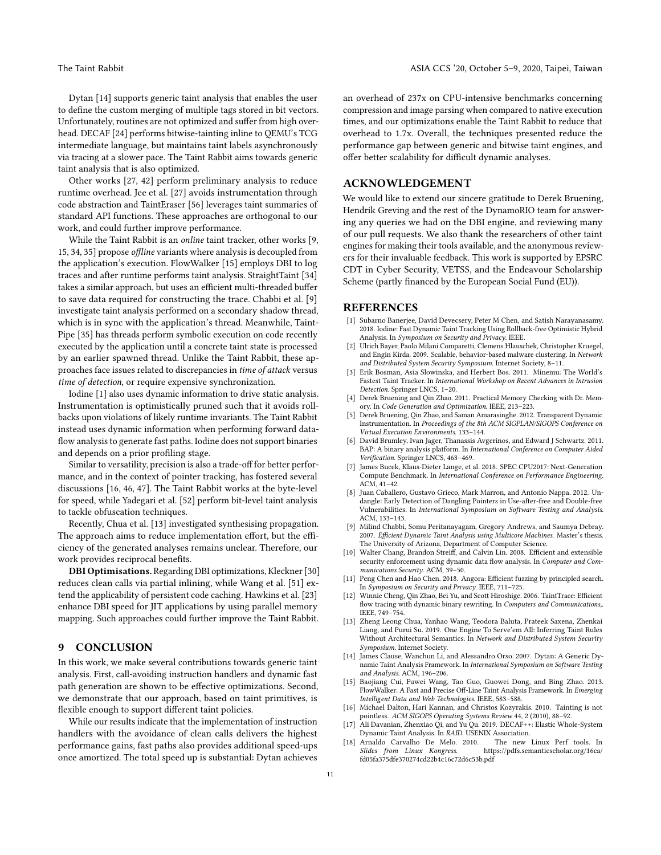Dytan [\[14\]](#page-10-3) supports generic taint analysis that enables the user to define the custom merging of multiple tags stored in bit vectors. Unfortunately, routines are not optimized and suffer from high overhead. DECAF [\[24\]](#page-11-11) performs bitwise-tainting inline to QEMU's TCG intermediate language, but maintains taint labels asynchronously via tracing at a slower pace. The Taint Rabbit aims towards generic taint analysis that is also optimized.

Other works [\[27,](#page-11-30) [42\]](#page-11-23) perform preliminary analysis to reduce runtime overhead. Jee et al. [\[27\]](#page-11-30) avoids instrumentation through code abstraction and TaintEraser [\[56\]](#page-11-31) leverages taint summaries of standard API functions. These approaches are orthogonal to our work, and could further improve performance.

While the Taint Rabbit is an online taint tracker, other works [\[9,](#page-10-13) [15,](#page-10-14) [34,](#page-11-32) [35\]](#page-11-33) propose offline variants where analysis is decoupled from the application's execution. FlowWalker [\[15\]](#page-10-14) employs DBI to log traces and after runtime performs taint analysis. StraightTaint [\[34\]](#page-11-32) takes a similar approach, but uses an efficient multi-threaded buffer to save data required for constructing the trace. Chabbi et al. [\[9\]](#page-10-13) investigate taint analysis performed on a secondary shadow thread, which is in sync with the application's thread. Meanwhile, Taint-Pipe [\[35\]](#page-11-33) has threads perform symbolic execution on code recently executed by the application until a concrete taint state is processed by an earlier spawned thread. Unlike the Taint Rabbit, these approaches face issues related to discrepancies in time of attack versus time of detection, or require expensive synchronization.

Iodine [\[1\]](#page-10-15) also uses dynamic information to drive static analysis. Instrumentation is optimistically pruned such that it avoids rollbacks upon violations of likely runtime invariants. The Taint Rabbit instead uses dynamic information when performing forward dataflow analysis to generate fast paths. Iodine does not support binaries and depends on a prior profiling stage.

Similar to versatility, precision is also a trade-off for better performance, and in the context of pointer tracking, has fostered several discussions [\[16,](#page-10-16) [46,](#page-11-34) [47\]](#page-11-35). The Taint Rabbit works at the byte-level for speed, while Yadegari et al. [\[52\]](#page-11-36) perform bit-level taint analysis to tackle obfuscation techniques.

Recently, Chua et al. [\[13\]](#page-10-17) investigated synthesising propagation. The approach aims to reduce implementation effort, but the efficiency of the generated analyses remains unclear. Therefore, our work provides reciprocal benefits.

DBI Optimisations. Regarding DBI optimizations, Kleckner [\[30\]](#page-11-37) reduces clean calls via partial inlining, while Wang et al. [\[51\]](#page-11-38) extend the applicability of persistent code caching. Hawkins et al. [\[23\]](#page-11-39) enhance DBI speed for JIT applications by using parallel memory mapping. Such approaches could further improve the Taint Rabbit.

# **CONCLUSION**

In this work, we make several contributions towards generic taint analysis. First, call-avoiding instruction handlers and dynamic fast path generation are shown to be effective optimizations. Second, we demonstrate that our approach, based on taint primitives, is flexible enough to support different taint policies.

While our results indicate that the implementation of instruction handlers with the avoidance of clean calls delivers the highest performance gains, fast paths also provides additional speed-ups once amortized. The total speed up is substantial: Dytan achieves an overhead of 237x on CPU-intensive benchmarks concerning compression and image parsing when compared to native execution times, and our optimizations enable the Taint Rabbit to reduce that overhead to 1.7x. Overall, the techniques presented reduce the performance gap between generic and bitwise taint engines, and offer better scalability for difficult dynamic analyses.

# ACKNOWLEDGEMENT

We would like to extend our sincere gratitude to Derek Bruening, Hendrik Greving and the rest of the DynamoRIO team for answering any queries we had on the DBI engine, and reviewing many of our pull requests. We also thank the researchers of other taint engines for making their tools available, and the anonymous reviewers for their invaluable feedback. This work is supported by EPSRC CDT in Cyber Security, VETSS, and the Endeavour Scholarship Scheme (partly financed by the European Social Fund (EU)).

### **REFERENCES**

- <span id="page-10-15"></span>[1] Subarno Banerjee, David Devecsery, Peter M Chen, and Satish Narayanasamy. 2018. Iodine: Fast Dynamic Taint Tracking Using Rollback-free Optimistic Hybrid Analysis. In Symposium on Security and Privacy. IEEE.
- <span id="page-10-0"></span>[2] Ulrich Bayer, Paolo Milani Comparetti, Clemens Hlauschek, Christopher Kruegel, and Engin Kirda. 2009. Scalable, behavior-based malware clustering. In Network and Distributed System Security Symposium. Internet Society, 8–11.
- <span id="page-10-11"></span>Erik Bosman, Asia Slowinska, and Herbert Bos. 2011. Minemu: The World's Fastest Taint Tracker. In International Workshop on Recent Advances in Intrusion Detection. Springer LNCS, 1–20.
- <span id="page-10-7"></span>[4] Derek Bruening and Qin Zhao. 2011. Practical Memory Checking with Dr. Memory. In Code Generation and Optimization. IEEE, 213–223.
- <span id="page-10-4"></span>Derek Bruening, Qin Zhao, and Saman Amarasinghe. 2012. Transparent Dynamic Instrumentation. In Proceedings of the 8th ACM SIGPLAN/SIGOPS Conference on Virtual Execution Environments. 133–144.
- <span id="page-10-6"></span>David Brumley, Ivan Jager, Thanassis Avgerinos, and Edward J Schwartz. 2011. BAP: A binary analysis platform. In International Conference on Computer Aided Verification. Springer LNCS, 463–469.
- <span id="page-10-5"></span>James Bucek, Klaus-Dieter Lange, et al. 2018. SPEC CPU2017: Next-Generation Compute Benchmark. In International Conference on Performance Engineering. ACM, 41–42.
- <span id="page-10-1"></span>[8] Juan Caballero, Gustavo Grieco, Mark Marron, and Antonio Nappa. 2012. Undangle: Early Detection of Dangling Pointers in Use-after-free and Double-free Vulnerabilities. In International Symposium on Software Testing and Analysis. ACM, 133–143.
- <span id="page-10-13"></span>[9] Milind Chabbi, Somu Peritanayagam, Gregory Andrews, and Saumya Debray. 2007. Efficient Dynamic Taint Analysis using Multicore Machines. Master's thesis. The University of Arizona, Department of Computer Science.
- <span id="page-10-8"></span>[10] Walter Chang, Brandon Streiff, and Calvin Lin. 2008. Efficient and extensible security enforcement using dynamic data flow analysis. In Computer and Communications Security. ACM, 39–50.
- <span id="page-10-2"></span>[11] Peng Chen and Hao Chen. 2018. Angora: Efficient fuzzing by principled search. In Symposium on Security and Privacy. IEEE, 711–725.
- <span id="page-10-9"></span>[12] Winnie Cheng, Qin Zhao, Bei Yu, and Scott Hiroshige. 2006. TaintTrace: Efficient flow tracing with dynamic binary rewriting. In Computers and Communications,. IEEE, 749–754.
- <span id="page-10-17"></span>[13] Zheng Leong Chua, Yanhao Wang, Teodora Baluta, Prateek Saxena, Zhenkai Liang, and Purui Su. 2019. One Engine To Serve'em All: Inferring Taint Rules Without Architectural Semantics. In Network and Distributed System Security Symposium. Internet Society.
- <span id="page-10-3"></span>[14] James Clause, Wanchun Li, and Alessandro Orso. 2007. Dytan: A Generic Dynamic Taint Analysis Framework. In International Symposium on Software Testing and Analysis. ACM, 196–206.
- <span id="page-10-14"></span>[15] Baojiang Cui, Fuwei Wang, Tao Guo, Guowei Dong, and Bing Zhao. 2013. FlowWalker: A Fast and Precise Off-Line Taint Analysis Framework. In Emerging Intelligent Data and Web Technologies. IEEE, 583–588.
- <span id="page-10-16"></span>[16] Michael Dalton, Hari Kannan, and Christos Kozyrakis. 2010. Tainting is not pointless. ACM SIGOPS Operating Systems Review 44, 2 (2010), 88–92.
- <span id="page-10-12"></span>[17] Ali Davanian, Zhenxiao Qi, and Yu Qu. 2019. DECAF++: Elastic Whole-System Dynamic Taint Analysis. In RAID. USENIX Association.
- <span id="page-10-10"></span>[18] Arnaldo Carvalho De Melo. 2010.<br>Slides from Linux Kongress. https://pdfs.semanticscholar.org/16ca/ [fd05fa375dfe370274cd22b4c16c72d6c53b.pdf](https://pdfs.semanticscholar.org/16ca/fd05fa375dfe370274cd22b4c16c72d6c53b.pdf)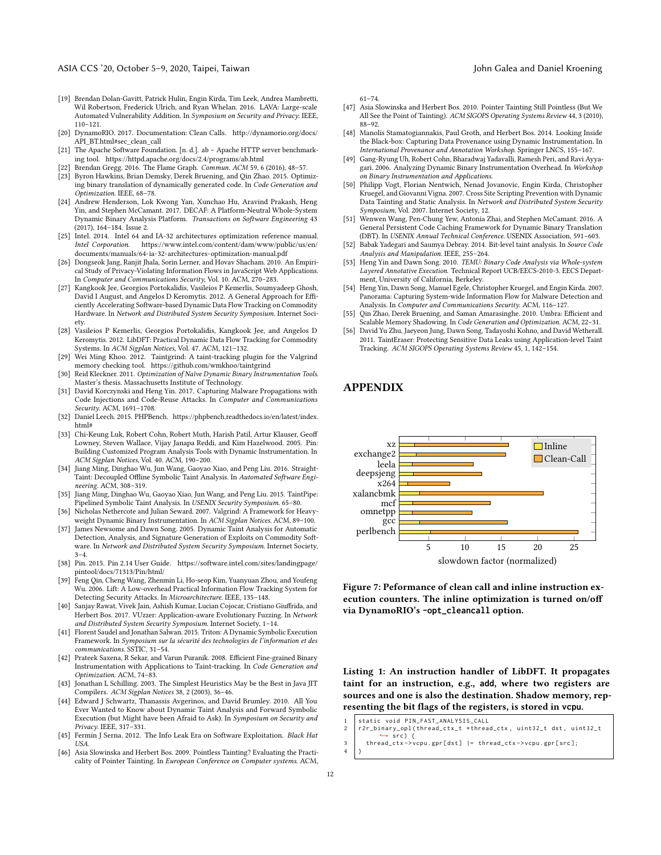- <span id="page-11-29"></span>[19] Brendan Dolan-Gavitt, Patrick Hulin, Engin Kirda, Tim Leek, Andrea Mambretti, Wil Robertson, Frederick Ulrich, and Ryan Whelan. 2016. LAVA: Large-scale Automated Vulnerability Addition. In Symposium on Security and Privacy. IEEE, 110–121.
- <span id="page-11-17"></span>[20] DynamoRIO. 2017. Documentation: Clean Calls. [http://dynamorio.org/docs/](http://dynamorio.org/docs/API_BT.html#sec_clean_call) [API\\_BT.html#sec\\_clean\\_call](http://dynamorio.org/docs/API_BT.html#sec_clean_call)
- <span id="page-11-28"></span>[21] The Apache Software Foundation. [n. d.]. ab – Apache HTTP server benchmarking tool.<https://httpd.apache.org/docs/2.4/programs/ab.html>
- <span id="page-11-26"></span>[22] Brendan Gregg. 2016. The Flame Graph. Commun. ACM 59, 6 (2016), 48–57.
- <span id="page-11-39"></span>[23] Byron Hawkins, Brian Demsky, Derek Bruening, and Qin Zhao. 2015. Optimizing binary translation of dynamically generated code. In Code Generation and Optimization. IEEE, 68–78.
- <span id="page-11-11"></span>[24] Andrew Henderson, Lok Kwong Yan, Xunchao Hu, Aravind Prakash, Heng Yin, and Stephen McCamant. 2017. DECAF: A Platform-Neutral Whole-System Dynamic Binary Analysis Platform. Transactions on Software Engineering 43 (2017), 164–184. Issue 2.
- <span id="page-11-24"></span>[25] Intel. 2014. Intel 64 and IA-32 architectures optimization reference manual. https://www.intel.com/content/dam/www/public/us/en/ [documents/manuals/64-ia-32-architectures-optimization-manual.pdf](https://www.intel.com/content/dam/www/public/us/en/documents/manuals/64-ia-32-architectures-optimization-manual.pdf)
- <span id="page-11-4"></span>[26] Dongseok Jang, Ranjit Jhala, Sorin Lerner, and Hovav Shacham. 2010. An Empirical Study of Privacy-Violating Information Flows in JavaScript Web Applications. In Computer and Communications Security, Vol. 10. ACM, 270–283.
- <span id="page-11-30"></span>[27] Kangkook Jee, Georgios Portokalidis, Vasileios P Kemerlis, Soumyadeep Ghosh, David I August, and Angelos D Keromytis. 2012. A General Approach for Efficiently Accelerating Software-based Dynamic Data Flow Tracking on Commodity Hardware. In Network and Distributed System Security Symposium. Internet Society.
- <span id="page-11-7"></span>[28] Vasileios P Kemerlis, Georgios Portokalidis, Kangkook Jee, and Angelos D Keromytis. 2012. LibDFT: Practical Dynamic Data Flow Tracking for Commodity Systems. In ACM Sigplan Notices, Vol. 47. ACM, 121–132.
- <span id="page-11-9"></span>[29] Wei Ming Khoo. 2012. Taintgrind: A taint-tracking plugin for the Valgrind memory checking tool.<https://github.com/wmkhoo/taintgrind>
- <span id="page-11-37"></span>[30] Reid Kleckner. 2011. Optimization of Naïve Dynamic Binary Instrumentation Tools. Master's thesis. Massachusetts Institute of Technology.
- <span id="page-11-1"></span>[31] David Korczynski and Heng Yin. 2017. Capturing Malware Propagations with Code Injections and Code-Reuse Attacks. In Computer and Communications Security. ACM, 1691–1708.
- <span id="page-11-27"></span>[32] Daniel Leech. 2015. PHPBench. [https://phpbench.readthedocs.io/en/latest/index.](https://phpbench.readthedocs.io/en/latest/index.html#) [html#](https://phpbench.readthedocs.io/en/latest/index.html#)
- <span id="page-11-16"></span>[33] Chi-Keung Luk, Robert Cohn, Robert Muth, Harish Patil, Artur Klauser, Geoff Lowney, Steven Wallace, Vijay Janapa Reddi, and Kim Hazelwood. 2005. Pin: Building Customized Program Analysis Tools with Dynamic Instrumentation. In ACM Sigplan Notices, Vol. 40. ACM, 190–200.
- <span id="page-11-32"></span>[34] Jiang Ming, Dinghao Wu, Jun Wang, Gaoyao Xiao, and Peng Liu. 2016. Straight-Taint: Decoupled Offline Symbolic Taint Analysis. In Automated Software Engineering. ACM, 308–319.
- <span id="page-11-33"></span>[35] Jiang Ming, Dinghao Wu, Gaoyao Xiao, Jun Wang, and Peng Liu. 2015. TaintPipe: Pipelined Symbolic Taint Analysis. In USENIX Security Symposium. 65–80.
- <span id="page-11-15"></span>[36] Nicholas Nethercote and Julian Seward. 2007. Valgrind: A Framework for Heavyweight Dynamic Binary Instrumentation. In ACM Sigplan Notices. ACM, 89-100.
- <span id="page-11-5"></span>[37] James Newsome and Dawn Song. 2005. Dynamic Taint Analysis for Automatic Detection, Analysis, and Signature Generation of Exploits on Commodity Software. In Network and Distributed System Security Symposium. Internet Society,  $3 - 4.$
- <span id="page-11-20"></span>[38] Pin. 2015. Pin 2.14 User Guide. [https://software.intel.com/sites/landingpage/](https://software.intel.com/sites/landingpage/pintool/docs/71313/Pin/html/) [pintool/docs/71313/Pin/html/](https://software.intel.com/sites/landingpage/pintool/docs/71313/Pin/html/)
- <span id="page-11-12"></span>[39] Feng Qin, Cheng Wang, Zhenmin Li, Ho-seop Kim, Yuanyuan Zhou, and Youfeng Wu. 2006. Lift: A Low-overhead Practical Information Flow Tracking System for Detecting Security Attacks. In Microarchitecture. IEEE, 135–148.
- <span id="page-11-3"></span>[40] Sanjay Rawat, Vivek Jain, Ashish Kumar, Lucian Cojocar, Cristiano Giuffrida, and Herbert Bos. 2017. VUzzer: Application-aware Evolutionary Fuzzing. In Network and Distributed System Security Symposium. Internet Society, 1–14.
- <span id="page-11-10"></span>[41] Florent Saudel and Jonathan Salwan. 2015. Triton: A Dynamic Symbolic Execution Framework. In Symposium sur la sécurité des technologies de l'information et des communications. SSTIC, 31–54.
- <span id="page-11-23"></span>[42] Prateek Saxena, R Sekar, and Varun Puranik. 2008. Efficient Fine-grained Binary Instrumentation with Applications to Taint-tracking. In Code Generation and Optimization. ACM, 74–83.
- <span id="page-11-25"></span>[43] Jonathan L Schilling. 2003. The Simplest Heuristics May be the Best in Java JIT Compilers. ACM Sigplan Notices 38, 2 (2003), 36–46.
- <span id="page-11-0"></span>[44] Edward J Schwartz, Thanassis Avgerinos, and David Brumley. 2010. All You Ever Wanted to Know about Dynamic Taint Analysis and Forward Symbolic Execution (but Might have been Afraid to Ask). In Symposium on Security and Privacy. IEEE, 317–331.
- <span id="page-11-14"></span>[45] Fermin J Serna. 2012. The Info Leak Era on Software Exploitation. Black Hat USA.
- <span id="page-11-34"></span>[46] Asia Slowinska and Herbert Bos. 2009. Pointless Tainting? Evaluating the Practicality of Pointer Tainting. In European Conference on Computer systems. ACM,

61–74.

- <span id="page-11-35"></span>[47] Asia Slowinska and Herbert Bos. 2010. Pointer Tainting Still Pointless (But We All See the Point of Tainting). ACM SIGOPS Operating Systems Review 44, 3 (2010), 88–92.
- <span id="page-11-8"></span>[48] Manolis Stamatogiannakis, Paul Groth, and Herbert Bos. 2014. Looking Inside the Black-box: Capturing Data Provenance using Dynamic Instrumentation. In International Provenance and Annotation Workshop. Springer LNCS, 155–167.
- <span id="page-11-18"></span>[49] Gang-Ryung Uh, Robert Cohn, Bharadwaj Yadavalli, Ramesh Peri, and Ravi Ayyagari. 2006. Analyzing Dynamic Binary Instrumentation Overhead. In Workshop on Binary Instrumentation and Applications.
- <span id="page-11-6"></span>[50] Philipp Vogt, Florian Nentwich, Nenad Jovanovic, Engin Kirda, Christopher Kruegel, and Giovanni Vigna. 2007. Cross Site Scripting Prevention with Dynamic Data Tainting and Static Analysis. In Network and Distributed System Security Symposium, Vol. 2007. Internet Society, 12.
- <span id="page-11-38"></span>[51] Wenwen Wang, Pen-Chung Yew, Antonia Zhai, and Stephen McCamant. 2016. A General Persistent Code Caching Framework for Dynamic Binary Translation (DBT). In USENIX Annual Technical Conference. USENIX Association, 591–603.
- <span id="page-11-36"></span>[52] Babak Yadegari and Saumya Debray. 2014. Bit-level taint analysis. In Source Code Analysis and Manipulation. IEEE, 255–264.
- <span id="page-11-13"></span>[53] Heng Yin and Dawn Song. 2010. TEMU: Binary Code Analysis via Whole-system Layered Annotative Execution. Technical Report UCB/EECS-2010-3. EECS Department, University of California, Berkeley.
- <span id="page-11-2"></span>[54] Heng Yin, Dawn Song, Manuel Egele, Christopher Kruegel, and Engin Kirda. 2007. Panorama: Capturing System-wide Information Flow for Malware Detection and Analysis. In Computer and Communications Security. ACM, 116–127.
- <span id="page-11-22"></span>[55] Qin Zhao, Derek Bruening, and Saman Amarasinghe. 2010. Umbra: Efficient and Scalable Memory Shadowing. In Code Generation and Optimization. ACM, 22–31.
- <span id="page-11-31"></span>[56] David Yu Zhu, Jaeyeon Jung, Dawn Song, Tadayoshi Kohno, and David Wetherall. 2011. TaintEraser: Protecting Sensitive Data Leaks using Application-level Taint Tracking. ACM SIGOPS Operating Systems Review 45, 1, 142–154.

# APPENDIX

<span id="page-11-19"></span>

Figure 7: Peformance of clean call and inline instruction execution counters. The inline optimization is turned on/off via DynamoRIO's **-opt\_cleancall** option.

<span id="page-11-21"></span>Listing 1: An instruction handler of LibDFT. It propagates taint for an instruction, e.g., **add**, where two registers are sources and one is also the destination. Shadow memory, representing the bit flags of the registers, is stored in **vcpu**.

| 1   static void PIN_FAST_ANALYSIS_CALL<br>2   r2r_binary_opl(thread_ctx_t *thread_ctx, uint32_t dst, uint32_t |
|---------------------------------------------------------------------------------------------------------------|
|                                                                                                               |
| $\leftrightarrow$ src) {                                                                                      |
| 3 thread_ctx->vcpu.gpr[dst] $ $ = thread_ctx->vcpu.gpr[src];<br>4 $\Big\}$                                    |
|                                                                                                               |
|                                                                                                               |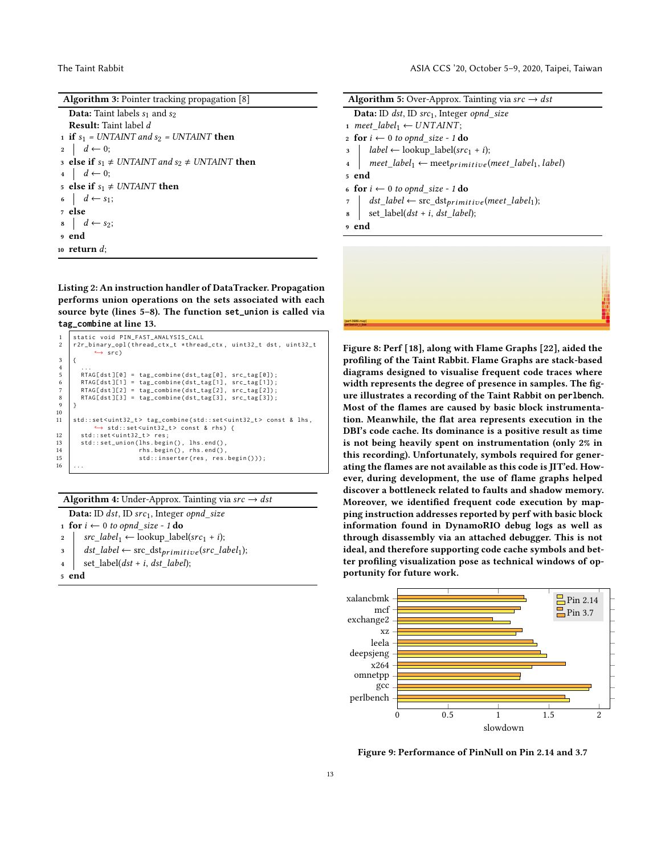| <b>Algorithm 3:</b> Pointer tracking propagation $[8]$   |
|----------------------------------------------------------|
| <b>Data:</b> Taint labels $s_1$ and $s_2$                |
| <b>Result:</b> Taint label d                             |
| 1 if $s_1$ = UNTAINT and $s_2$ = UNTAINT then            |
| $2 \mid d \leftarrow 0;$                                 |
| 3 else if $s_1 \neq UNTAINT$ and $s_2 \neq UNTAINT$ then |
| $4 \mid d \leftarrow 0;$                                 |
| 5 else if $s_1 \neq UNTAINT$ then                        |
| 6 $d \leftarrow s_1$ ;                                   |
| 7 else                                                   |
| $\mathbf{s}$ $d \leftarrow s_2;$                         |
| 9 end                                                    |
| 10 return $d$ :                                          |

<span id="page-12-1"></span><span id="page-12-0"></span>Listing 2: An instruction handler of DataTracker. Propagation performs union operations on the sets associated with each source byte (lines 5–8). The function **set\_union** is called via **tag\_combine** at line 13.

```
1 static void PIN_FAST_ANALYSIS_CALL<br>2 r2r_binary_opl(thread_ctx_t *threa
       2 r2r_binary_opl ( thread_ctx_t * thread_ctx , uint32_t dst , uint32_t
                 \leftrightarrow src)
 \frac{3}{4}4 ...
5 RTAG[dst][0] = tag_combine(dst_tag[0], src_tag[0]);<br>6 RTAG[dst][1] = tag_combine(dst_tag[1], src_tag[1]);<br>7 RTAG[dst][2] = tag_combine(dst_tag[2], src_tag[2]);
  6 RTAG [ dst ][1] = tag_combine ( dst_tag [1] , src_tag [1]) ;
7 RTAG [ dst ][2] = tag_combine ( dst_tag [2] , src_tag [2]) ;
 8 RTAG[dst][3] = tag_combine(dst_tag[3], src_tag[3]);
 <sub>9</sub>
\begin{array}{c} 10 \\ 11 \end{array}11 std :: set < uint32_t > tag_combine ( std :: set < uint32_t > const & lhs ,
                    ,→ std :: set < uint32_t > const & rhs ) {
12 std::set<uint32_t> res;<br>13 std::set_union(lhs.begi
13 std::set_union(lhs.begin(), lhs.end(),<br>
14 rhs.begin(), rhs.end(),
14 rhs. begin (), rhs. end ()<br>15 std:: inserter (res. res
                                     std::inserter(res, res.begin());
16
```


<span id="page-12-2"></span>

| Data: ID dst, ID src1, Integer opnd_size                                                       |  |  |  |  |  |  |  |
|------------------------------------------------------------------------------------------------|--|--|--|--|--|--|--|
| 1 for $i \leftarrow 0$ to opnd_size - 1 do                                                     |  |  |  |  |  |  |  |
| 2   $src\_label_1 \leftarrow lookup\_label(src_1 + i);$                                        |  |  |  |  |  |  |  |
| $\vert$ $\vert$ dst_label $\leftarrow$ src_dst <sub>primitive</sub> (src_label <sub>1</sub> ); |  |  |  |  |  |  |  |
| $set\_label(dst + i, dst\_label);$<br>4                                                        |  |  |  |  |  |  |  |
| <sub>5</sub> end                                                                               |  |  |  |  |  |  |  |

|                         | <b>Algorithm 5:</b> Over-Approx. Tainting via $src \rightarrow dst$                                             |
|-------------------------|-----------------------------------------------------------------------------------------------------------------|
|                         | <b>Data:</b> ID dst, ID src <sub>1</sub> , Integer opnd size                                                    |
|                         | 1 meet label <sub>1</sub> $\leftarrow$ UNTAINT;                                                                 |
|                         | 2 for $i \leftarrow 0$ to opnd_size - 1 do                                                                      |
|                         | $\begin{aligned} \text{a} \quad   \quad label \leftarrow \text{lookup\_label}(\text{src}_1 + i); \end{aligned}$ |
| $\overline{\mathbf{4}}$ | $\vert$ meet_label <sub>1</sub> $\leftarrow$ meet <sub>primitive</sub> (meet_label <sub>1</sub> , label)        |
| <sub>5</sub> end        |                                                                                                                 |
|                         | 6 for $i \leftarrow 0$ to opnd_size - 1 do                                                                      |
|                         | $\tau$   dst_label $\leftarrow$ src_dst <sub>primitive</sub> (meet_label <sub>1</sub> );                        |
| $\bf{8}$                | set_label( $dst + i$ , $dst\_label$ );                                                                          |
| 9 end                   |                                                                                                                 |

<span id="page-12-4"></span><span id="page-12-3"></span>Figure 8: Perf [\[18\]](#page-10-10), along with Flame Graphs [\[22\]](#page-11-26), aided the profiling of the Taint Rabbit. Flame Graphs are stack-based diagrams designed to visualise frequent code traces where width represents the degree of presence in samples. The figure illustrates a recording of the Taint Rabbit on **perlbench**. Most of the flames are caused by basic block instrumentation. Meanwhile, the flat area represents execution in the DBI's code cache. Its dominance is a positive result as time is not being heavily spent on instrumentation (only 2% in this recording). Unfortunately, symbols required for generating the flames are not available as this code is JIT'ed. However, during development, the use of flame graphs helped discover a bottleneck related to faults and shadow memory. Moreover, we identified frequent code execution by mapping instruction addresses reported by perf with basic block information found in DynamoRIO debug logs as well as through disassembly via an attached debugger. This is not ideal, and therefore supporting code cache symbols and better profiling visualization pose as technical windows of opportunity for future work.



Figure 9: Performance of PinNull on Pin 2.14 and 3.7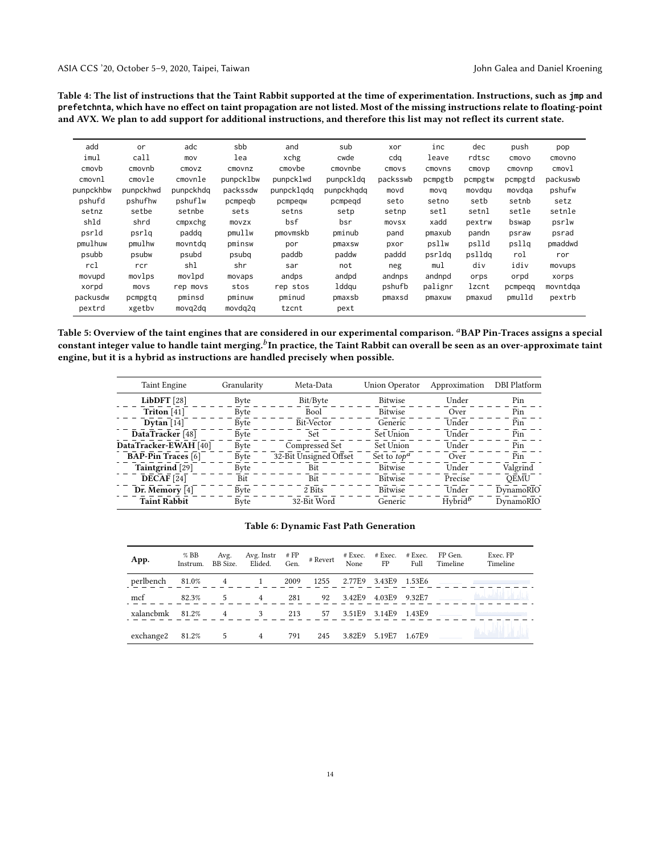<span id="page-13-0"></span>Table 4: The list of instructions that the Taint Rabbit supported at the time of experimentation. Instructions, such as **jmp** and **prefetchnta**, which have no effect on taint propagation are not listed. Most of the missing instructions relate to floating-point and AVX. We plan to add support for additional instructions, and therefore this list may not reflect its current state.

| add       | or        | adc       | sbb       | and        | sub        | xor      | inc     | dec     | push    | pop      |
|-----------|-----------|-----------|-----------|------------|------------|----------|---------|---------|---------|----------|
| imul      | call      | mov       | lea       | xchg       | cwde       | cdq      | leave   | rdtsc   | cmovo   | cmovno   |
| cmovb     | cmovnb    | CMOVZ     | cmovnz    | cmovbe     | cmovnbe    | cmovs    | cmovns  | cmovp   | cmovnp  | cmov1    |
| cmovnl    | cmovle    | cmovnle   | punpcklbw | punpcklwd  | punpckldg  | packsswb | pcmpgtb | pcmpgtw | pcmpgtd | packuswb |
| punpckhbw | punpckhwd | punpckhda | packssdw  | punpcklgdg | punpckhqdq | movd     | movq    | movdqu  | movdga  | pshufw   |
| pshufd    | pshufhw   | pshuflw   | pcmpegb   | pcmpeqw    | pcmpegd    | seto     | setno   | setb    | setnb   | setz     |
| setnz     | setbe     | setnbe    | sets      | setns      | setp       | setnp    | setl    | setnl   | setle   | setnle   |
| shld      | shrd      | cmpxchg   | movzx     | bsf        | bsr        | movsx    | xadd    | pextrw  | bswap   | psrlw    |
| psrld     | psrlq     | paddq     | pmullw    | pmovmskb   | pminub     | pand     | pmaxub  | pandn   | psraw   | psrad    |
| pmulhuw   | pmulhw    | movntdg   | pminsw    | por        | pmaxsw     | pxor     | psllw   | pslld   | psllq   | pmaddwd  |
| psubb     | psubw     | psubd     | psubg     | paddb      | paddw      | paddd    | psrldg  | pslldg  | rol     | ror      |
| rcl       | rcr       | shl       | shr       | sar        | not        | neg      | mul     | div     | idiv    | movups   |
| movupd    | movlps    | movlpd    | movaps    | andps      | andpd      | andnps   | andnpd  | orps    | orpd    | xorps    |
| xorpd     | movs      | rep movs  | stos      | rep stos   | lddgu      | pshufb   | palignr | lzcnt   | pcmpeqq | movntdqa |
| packusdw  | pcmpgtq   | pminsd    | pminuw    | pminud     | pmaxsb     | pmaxsd   | pmaxuw  | pmaxud  | pmulld  | pextrb   |
| pextrd    | xgetby    | movq2dq   | movdg2g   | tzcnt      | pext       |          |         |         |         |          |

<span id="page-13-1"></span>Table 5: Overview of the taint engines that are considered in our experimental comparison. <sup>a</sup>BAP Pin-Traces assigns a special constant integer value to handle taint merging. $^b$ In practice, the Taint Rabbit can overall be seen as an over-approximate taint engine, but it is a hybrid as instructions are handled precisely when possible.

| <b>Taint Engine</b><br>Granularity<br>Meta-Data |      | Union Operator         | Approximation  | DBI Platform |             |
|-------------------------------------------------|------|------------------------|----------------|--------------|-------------|
| LibDFT $[28]$                                   | Byte | Bit/Byte               | <b>Bitwise</b> | Under        | Pin         |
| Triton $[41]$                                   | Byte | Bool                   | Bitwise        | Over         | Pin         |
| Dytan $[14]$                                    | Byte | Bit-Vector             | Generic        | Under        | Pin         |
| DataTracker [48]                                | Byte | Set.                   | Set Union      | Under        | Pin         |
| DataTracker-EWAH [40]                           | Byte | Compressed Set         | Set Union      | Under        | Pin         |
| <b>BAP-Pin Traces</b> [6]                       | Byte | 32-Bit Unsigned Offset | Set to $top^a$ | Over         | Pin         |
| Taintgrind [29]                                 | Byte | Bit                    | <b>Bitwise</b> | Under        | Valgrind    |
| DECAF [24]                                      | Bit  | <b>Bit</b>             | <b>Bitwise</b> | Precise      | <b>OEMU</b> |
| Dr. Memory [4]                                  | Byte | 2 Bits                 | <b>Bitwise</b> | Under        | DynamoRIO   |
| <b>Taint Rabbit</b>                             | Byte | 32-Bit Word            | Generic        | $Hvbrid^b$   | DynamoRIO   |

#### Table 6: Dynamic Fast Path Generation

<span id="page-13-2"></span>

| App.      | $%$ BB<br>Instrum. | Avg.<br>BB Size. | Avg. Instr<br>Elided.                                                                                                                                                                                                                                                                                                                                                              | Gen. | $# FP$ # Revert | None FP | $#$ Exec. $#$ Exec.  | # Exec.<br>Full | FP Gen.<br>Timeline | Exec. FP<br>Timeline    |
|-----------|--------------------|------------------|------------------------------------------------------------------------------------------------------------------------------------------------------------------------------------------------------------------------------------------------------------------------------------------------------------------------------------------------------------------------------------|------|-----------------|---------|----------------------|-----------------|---------------------|-------------------------|
| perlbench |                    |                  | 81.0% 4 1                                                                                                                                                                                                                                                                                                                                                                          | 2009 | 1255            |         | 2.77E9 3.43E9 1.53E6 |                 |                     |                         |
| mcf       | 82.3%              | 5                | $4\phantom{.00000}\phantom{.0000}\phantom{.0000}\phantom{.0000}\phantom{.0000}\phantom{.0000}\phantom{.0000}\phantom{.0000}\phantom{.0000}\phantom{.0000}\phantom{.0000}\phantom{.0000}\phantom{.0000}\phantom{.0000}\phantom{.0000}\phantom{.0000}\phantom{.0000}\phantom{.0000}\phantom{.0000}\phantom{.0000}\phantom{.0000}\phantom{.0000}\phantom{.0000}\phantom{.0000}\phant$ | 281  | 92              | 3.42E9  | 4.03E9               | 9.32E7          |                     | فيناء فانا أتقافلك احمه |
| xalanchmk | 81.2%              | $\overline{4}$   | 3                                                                                                                                                                                                                                                                                                                                                                                  | 213  | 57              |         | 3.51E9 3.14E9        | 1.43E9          |                     |                         |
| exchange2 | 81.2%              | 5                | $\overline{4}$                                                                                                                                                                                                                                                                                                                                                                     | 791  | 245             | 3.82E9  | 5.19E7               | 1.67E9          |                     | البران زايا الزائلسامية |